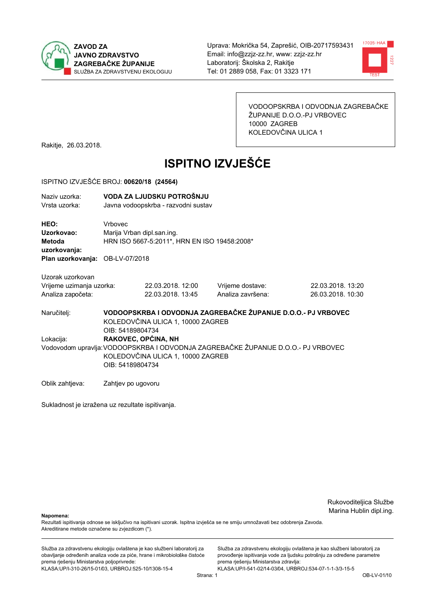



VODOOPSKRBA I ODVODNJA ZAGREBAČKE ŽUPANIJE D.O.O.-PJ VRBOVEC 10000 ZAGREB KOLEDOVČINA ULICA 1

Rakitje, 26.03.2018.

# **ISPITNO IZVJEŠĆE**

#### ISPITNO IZVJEŠĆE BROJ: 00620/18 (24564)

| Naziv uzorka:<br>Vrsta uzorka:                                                  |                                                                                                                                                                   | VODA ZA LJUDSKU POTROŠNJU<br>Javna vodoopskrba - razvodni sustav                                   |                                       |                                        |  |
|---------------------------------------------------------------------------------|-------------------------------------------------------------------------------------------------------------------------------------------------------------------|----------------------------------------------------------------------------------------------------|---------------------------------------|----------------------------------------|--|
| HEO:<br>Uzorkovao:<br>Metoda<br>uzorkovanja:<br>Plan uzorkovanja: OB-LV-07/2018 | Vrbovec                                                                                                                                                           | Marija Vrban dipl.san.ing.<br>HRN ISO 5667-5:2011*, HRN EN ISO 19458:2008*                         |                                       |                                        |  |
| Uzorak uzorkovan<br>Vrijeme uzimanja uzorka:<br>Analiza započeta:               |                                                                                                                                                                   | 22.03.2018. 12:00<br>22.03.2018. 13:45                                                             | Vrijeme dostave:<br>Analiza završena: | 22.03.2018. 13:20<br>26.03.2018. 10:30 |  |
| Naručitelj:                                                                     | OIB: 54189804734                                                                                                                                                  | VODOOPSKRBA I ODVODNJA ZAGREBAČKE ŽUPANIJE D.O.O.- PJ VRBOVEC<br>KOLEDOVČINA ULICA 1, 10000 ZAGREB |                                       |                                        |  |
| Lokacija:                                                                       | RAKOVEC, OPĆINA, NH<br>Vodovodom upravlja: VODOOPSKRBA I ODVODNJA ZAGREBAČKE ŽUPANIJE D.O.O.- PJ VRBOVEC<br>KOLEDOVČINA ULICA 1, 10000 ZAGREB<br>OIB: 54189804734 |                                                                                                    |                                       |                                        |  |
| Oblik zahtjeva:                                                                 | Zahtjev po ugovoru                                                                                                                                                |                                                                                                    |                                       |                                        |  |

Sukladnost je izražena uz rezultate ispitivanja.

Rukovoditeljica Službe Marina Hublin dipl.ing.

Napomena:

Rezultati ispitivanja odnose se isključivo na ispitivani uzorak. Ispitna izvješća se ne smiju umnožavati bez odobrenja Zavoda. Akreditirane metode označene su zvjezdicom (\*).

Služba za zdravstvenu ekologiju ovlaštena je kao službeni laboratorij za obavljanje određenih analiza vode za piće, hrane i mikrobiološke čistoće prema rješenju Ministarstva poljoprivrede: KLASA:UP/I-310-26/15-01/03, URBROJ:525-10/1308-15-4

Služba za zdravstvenu ekologiju ovlaštena je kao službeni laboratorij za provođenje ispitivanja vode za ljudsku potrošnju za određene parametre prema rješenju Ministarstva zdravlja: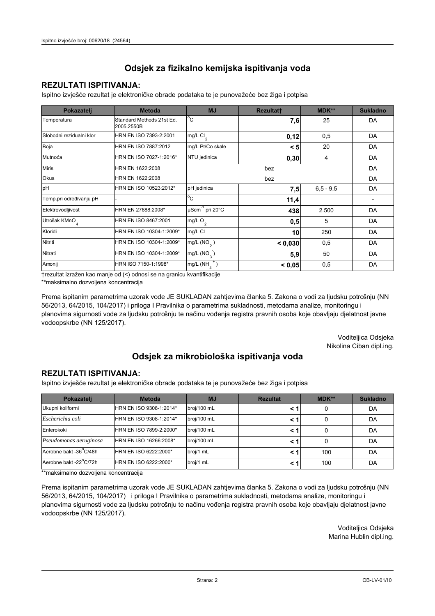### **REZULTATI ISPITIVANJA:**

Ispitno izviešće rezultat je elektroničke obrade podataka te je punovažeće bez žiga i potpisa

| Pokazatelj                | <b>Metoda</b>                           | <b>MJ</b>                       | <b>Rezultatt</b> | <b>MDK**</b>  | <b>Sukladno</b> |
|---------------------------|-----------------------------------------|---------------------------------|------------------|---------------|-----------------|
| Temperatura               | Standard Methods 21st Ed.<br>2005.2550B | $^{\circ}$ C                    | 7,6              | 25            | DA              |
| Slobodni rezidualni klor  | HRN EN ISO 7393-2:2001                  | $mg/L$ Cl <sub>2</sub>          | 0,12             | 0,5           | DA              |
| Boja                      | HRN EN ISO 7887:2012                    | mg/L Pt/Co skale                | < 5              | 20            | DA              |
| Mutnoća                   | HRN EN ISO 7027-1:2016*                 | NTU jedinica                    | 0,30             | 4             | DA              |
| <b>Miris</b>              | HRN EN 1622:2008                        |                                 | DA               |               |                 |
| Okus                      | HRN EN 1622:2008                        |                                 | DA               |               |                 |
| pH                        | HRN EN ISO 10523:2012*                  | pH jedinica                     | 7,5              | $6, 5 - 9, 5$ | DA              |
| Temp.pri određivanju pH   |                                         | $^{\circ}$ C                    | 11,4             |               |                 |
| Elektrovodljivost         | HRN EN 27888:2008*                      | µScm <sup>-1</sup> pri 20°C     | 438              | 2.500         | DA              |
| Utrošak KMnO <sub>4</sub> | HRN EN ISO 8467:2001                    | mg/L O <sub>2</sub>             | 0,5              | 5             | DA              |
| Kloridi                   | HRN EN ISO 10304-1:2009*                | mg/L CI                         | 10               | 250           | DA              |
| Nitriti                   | HRN EN ISO 10304-1:2009*                | mg/L $(NO2)$                    | < 0,030          | 0,5           | DA              |
| Nitrati                   | HRN EN ISO 10304-1:2009*                | mg/L $(NO_{\alpha}^{-})$<br>5,9 |                  | 50            | DA              |
| Amonij                    | HRN ISO 7150-1:1998*                    | mg/L (NH                        | < 0.05           | 0,5           | DA              |

trezultat izražen kao manje od (<) odnosi se na granicu kvantifikacije

\*\*maksimalno dozvoljena koncentracija

Prema ispitanim parametrima uzorak vode JE SUKLADAN zahtjevima članka 5. Zakona o vodi za ljudsku potrošnju (NN 56/2013, 64/2015, 104/2017) i priloga I Pravilnika o parametrima sukladnosti, metodama analize, monitoringu i planovima sigurnosti vode za ljudsku potrošnju te načinu vođenja registra pravnih osoba koje obavljaju djelatnost javne vodoopskrbe (NN 125/2017).

> Voditeljica Odsjeka Nikolina Ciban dipl.ing.

## Odsjek za mikrobiološka ispitivanja voda

#### **REZULTATI ISPITIVANJA:**

Ispitno izvješće rezultat je elektroničke obrade podataka te je punovažeće bez žiga i potpisa

| Pokazatelj             | <b>Metoda</b>           | <b>MJ</b>   | <b>Rezultat</b> | <b>MDK**</b> | <b>Sukladno</b> |
|------------------------|-------------------------|-------------|-----------------|--------------|-----------------|
| Ukupni koliformi       | HRN EN ISO 9308-1:2014* | broj/100 mL |                 |              | DA              |
| Escherichia coli       | HRN EN ISO 9308-1:2014* | broj/100 mL | < 1             |              | DA              |
| Enterokoki             | HRN EN ISO 7899-2:2000* | broj/100 mL | < '             |              | DA              |
| Pseudomonas aeruginosa | HRN EN ISO 16266:2008*  | broj/100 mL | < 1             | 0            | DA              |
| Aerobne bakt -36 C/48h | HRN EN ISO 6222:2000*   | broj/1 mL   |                 | 100          | DA              |
| Aerobne bakt -22°C/72h | HRN EN ISO 6222:2000*   | broj/1 mL   | < 1             | 100          | DA              |

\*\*maksimalno dozvoljena koncentracija

Prema ispitanim parametrima uzorak vode JE SUKLADAN zahtjevima članka 5. Zakona o vodi za ljudsku potrošnju (NN 56/2013, 64/2015, 104/2017) i priloga I Pravilnika o parametrima sukladnosti, metodama analize, monitoringu i planovima sigurnosti vode za ljudsku potrošnju te načinu vođenja registra pravnih osoba koje obavljaju djelatnost javne vodoopskrbe (NN 125/2017).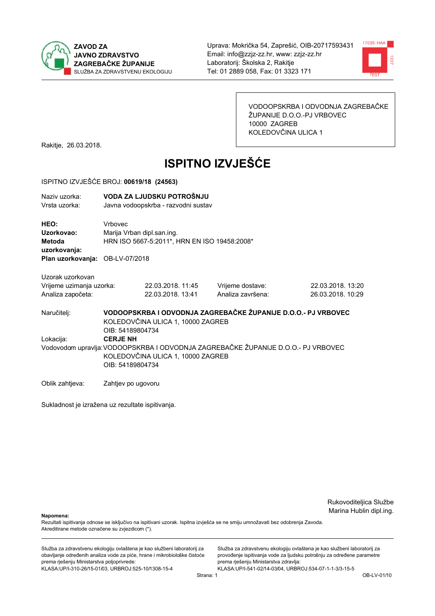



VODOOPSKRBA I ODVODNJA ZAGREBAČKE ŽUPANIJE D.O.O.-PJ VRBOVEC 10000 ZAGREB KOLEDOVČINA ULICA 1

Rakitje, 26.03.2018.

# **ISPITNO IZVJEŠĆE**

#### ISPITNO IZVJEŠĆE BROJ: 00619/18 (24563)

| Naziv uzorka:<br>Vrsta uzorka:                                                  |                                                                                                                                                               | VODA ZA LJUDSKU POTROŠNJU<br>Javna vodoopskrba - razvodni sustav           |                                       |                                                               |  |  |
|---------------------------------------------------------------------------------|---------------------------------------------------------------------------------------------------------------------------------------------------------------|----------------------------------------------------------------------------|---------------------------------------|---------------------------------------------------------------|--|--|
| HEO:<br>Uzorkovao:<br>Metoda<br>uzorkovanja:<br>Plan uzorkovanja: OB-LV-07/2018 | <b>Vrhovec</b>                                                                                                                                                | Marija Vrban dipl.san.ing.<br>HRN ISO 5667-5:2011*, HRN EN ISO 19458:2008* |                                       |                                                               |  |  |
| Uzorak uzorkovan<br>Vrijeme uzimanja uzorka:<br>Analiza započeta:               |                                                                                                                                                               | 22.03.2018. 11:45<br>22.03.2018. 13:41                                     | Vrijeme dostave:<br>Analiza završena: | 22.03.2018. 13:20<br>26.03.2018. 10:29                        |  |  |
| Naručitelj:                                                                     | OIB: 54189804734                                                                                                                                              | KOLEDOVČINA ULICA 1, 10000 ZAGREB                                          |                                       | VODOOPSKRBA I ODVODNJA ZAGREBAČKE ŽUPANIJE D.O.O.- PJ VRBOVEC |  |  |
| Lokacija:                                                                       | <b>CERJE NH</b><br>Vodovodom upravlja: VODOOPSKRBA I ODVODNJA ZAGREBAČKE ŽUPANIJE D.O.O.- PJ VRBOVEC<br>KOLEDOVČINA ULICA 1, 10000 ZAGREB<br>OIB: 54189804734 |                                                                            |                                       |                                                               |  |  |
| Oblik zahtjeva:                                                                 | Zahtjev po ugovoru                                                                                                                                            |                                                                            |                                       |                                                               |  |  |

Sukladnost je izražena uz rezultate ispitivanja.

Rukovoditeljica Službe Marina Hublin dipl.ing.

Napomena:

Rezultati ispitivanja odnose se isključivo na ispitivani uzorak. Ispitna izvješća se ne smiju umnožavati bez odobrenja Zavoda. Akreditirane metode označene su zvjezdicom (\*).

Služba za zdravstvenu ekologiju ovlaštena je kao službeni laboratorij za obavljanje određenih analiza vode za piće, hrane i mikrobiološke čistoće prema rješenju Ministarstva poljoprivrede: KLASA:UP/I-310-26/15-01/03, URBROJ:525-10/1308-15-4

Služba za zdravstvenu ekologiju ovlaštena je kao službeni laboratorij za provođenje ispitivanja vode za ljudsku potrošnju za određene parametre prema rješenju Ministarstva zdravlja: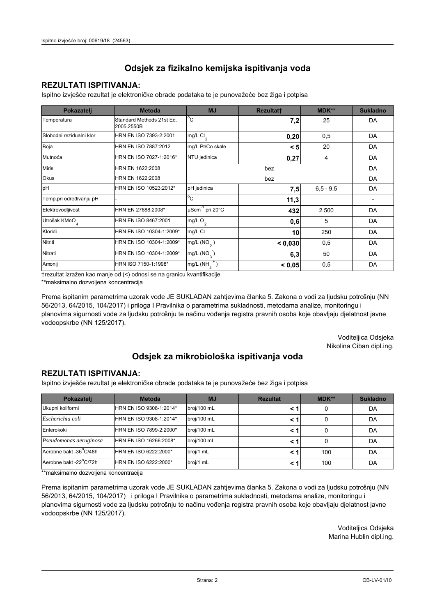### **REZULTATI ISPITIVANJA:**

Ispitno izviešće rezultat je elektroničke obrade podataka te je punovažeće bez žiga i potpisa

| Pokazatelj                | <b>Metoda</b>                           | <b>MJ</b>                       | Rezultatt | <b>MDK**</b>  | <b>Sukladno</b> |
|---------------------------|-----------------------------------------|---------------------------------|-----------|---------------|-----------------|
| Temperatura               | Standard Methods 21st Ed.<br>2005.2550B | $^{\circ}$ C                    | 7,2       | 25            | DA              |
| Slobodni rezidualni klor  | HRN EN ISO 7393-2:2001                  | $mg/L$ Cl <sub>2</sub>          | 0,20      | 0,5           | DA              |
| Boja                      | HRN EN ISO 7887:2012                    | mg/L Pt/Co skale                | < 5       | 20            | DA              |
| Mutnoća                   | HRN EN ISO 7027-1:2016*                 | NTU jedinica                    | 0,27      | 4             | DA              |
| <b>Miris</b>              | HRN EN 1622:2008                        |                                 | DA        |               |                 |
| Okus                      | HRN EN 1622:2008                        |                                 | DA        |               |                 |
| pH                        | HRN EN ISO 10523:2012*                  | pH jedinica                     | 7,5       | $6, 5 - 9, 5$ | DA              |
| Temp.pri određivanju pH   |                                         | $^{\circ}$ C                    | 11,3      |               |                 |
| Elektrovodljivost         | HRN EN 27888:2008*                      | µScm <sup>-1</sup> pri 20°C     | 432       | 2.500         | DA              |
| Utrošak KMnO <sub>4</sub> | HRN EN ISO 8467:2001                    | mg/L O <sub>2</sub>             | 0,6       | 5             | DA              |
| Kloridi                   | HRN EN ISO 10304-1:2009*                | mg/L CI                         | 10        | 250           | DA              |
| Nitriti                   | HRN EN ISO 10304-1:2009*                | mg/L $(NO2)$                    | < 0.030   | 0,5           | DA              |
| Nitrati                   | HRN EN ISO 10304-1:2009*                | mg/L $(NO_{\alpha}^{-})$<br>6,3 |           | 50            | DA              |
| Amonij                    | HRN ISO 7150-1:1998*                    | mg/L (NH                        | < 0.05    | 0,5           | DA              |

trezultat izražen kao manje od (<) odnosi se na granicu kvantifikacije

\*\*maksimalno dozvoljena koncentracija

Prema ispitanim parametrima uzorak vode JE SUKLADAN zahtjevima članka 5. Zakona o vodi za ljudsku potrošnju (NN 56/2013, 64/2015, 104/2017) i priloga I Pravilnika o parametrima sukladnosti, metodama analize, monitoringu i planovima sigurnosti vode za ljudsku potrošnju te načinu vođenja registra pravnih osoba koje obavljaju djelatnost javne vodoopskrbe (NN 125/2017).

> Voditeljica Odsjeka Nikolina Ciban dipl.ing.

## Odsjek za mikrobiološka ispitivanja voda

#### **REZULTATI ISPITIVANJA:**

Ispitno izvješće rezultat je elektroničke obrade podataka te je punovažeće bez žiga i potpisa

| Pokazatelj             | <b>Metoda</b>           | <b>MJ</b>   | <b>Rezultat</b> | $MDK**$ | <b>Sukladno</b> |
|------------------------|-------------------------|-------------|-----------------|---------|-----------------|
| Ukupni koliformi       | HRN EN ISO 9308-1:2014* | broj/100 mL |                 | 0       | DA              |
| Escherichia coli       | HRN EN ISO 9308-1:2014* | broj/100 mL |                 | 0       | DA              |
| Enterokoki             | HRN EN ISO 7899-2:2000* | broj/100 mL |                 | 0       | DA              |
| Pseudomonas aeruginosa | HRN EN ISO 16266:2008*  | broj/100 mL | < 1             | 0       | DA              |
| Aerobne bakt -36 C/48h | HRN EN ISO 6222:2000*   | broj/1 mL   |                 | 100     | DA              |
| Aerobne bakt -22°C/72h | HRN EN ISO 6222:2000*   | broj/1 mL   |                 | 100     | DA              |

\*\*maksimalno dozvoljena koncentracija

Prema ispitanim parametrima uzorak vode JE SUKLADAN zahtjevima članka 5. Zakona o vodi za ljudsku potrošnju (NN 56/2013, 64/2015, 104/2017) i priloga I Pravilnika o parametrima sukladnosti, metodama analize, monitoringu i planovima sigurnosti vode za ljudsku potrošnju te načinu vođenja registra pravnih osoba koje obavljaju djelatnost javne vodoopskrbe (NN 125/2017).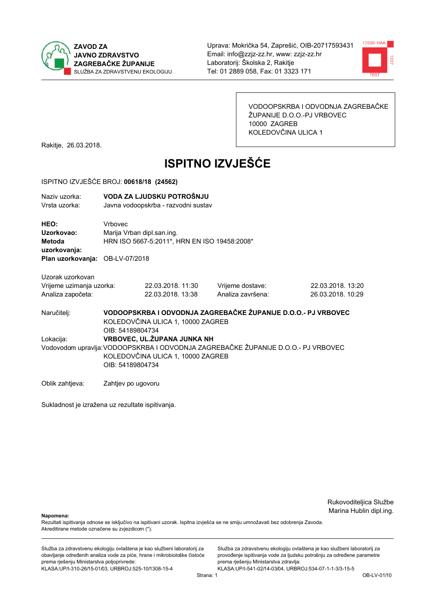



VODOOPSKRBA I ODVODNJA ZAGREBAČKE ŽUPANIJE D.O.O.-PJ VRBOVEC 10000 ZAGREB KOLEDOVČINA ULICA 1

Rakitje, 26.03.2018.

# **ISPITNO IZVJEŠĆE**

#### ISPITNO IZVJEŠĆE BROJ: 00618/18 (24562)

| Naziv uzorka:<br>Vrsta uzorka:                                                  |                                                                                                                                            | VODA ZA LJUDSKU POTROŠNJU<br>Javna vodoopskrba - razvodni sustav           |                                                               |                                        |  |  |
|---------------------------------------------------------------------------------|--------------------------------------------------------------------------------------------------------------------------------------------|----------------------------------------------------------------------------|---------------------------------------------------------------|----------------------------------------|--|--|
| HEO:<br>Uzorkovao:<br>Metoda<br>uzorkovanja:<br>Plan uzorkovanja: OB-LV-07/2018 | Vrbovec                                                                                                                                    | Marija Vrban dipl.san.ing.<br>HRN ISO 5667-5:2011*, HRN EN ISO 19458:2008* |                                                               |                                        |  |  |
|                                                                                 |                                                                                                                                            |                                                                            |                                                               |                                        |  |  |
| Uzorak uzorkovan                                                                |                                                                                                                                            |                                                                            |                                                               |                                        |  |  |
| Vrijeme uzimanja uzorka:<br>Analiza započeta:                                   |                                                                                                                                            | 22.03.2018. 11:30<br>22.03.2018. 13:38                                     | Vrijeme dostave:<br>Analiza završena:                         | 22.03.2018. 13:20<br>26.03.2018. 10:29 |  |  |
| Naručitelj:                                                                     | OIB: 54189804734                                                                                                                           | KOLEDOVČINA ULICA 1, 10000 ZAGREB                                          | VODOOPSKRBA I ODVODNJA ZAGREBAČKE ŽUPANIJE D.O.O.- PJ VRBOVEC |                                        |  |  |
| Lokacija:                                                                       |                                                                                                                                            | VRBOVEC, UL. ŽUPANA JUNKA NH                                               |                                                               |                                        |  |  |
|                                                                                 | Vodovodom upravlja: VODOOPSKRBA I ODVODNJA ZAGREBAČKE ŽUPANIJE D.O.O.- PJ VRBOVEC<br>KOLEDOVČINA ULICA 1, 10000 ZAGREB<br>OIB: 54189804734 |                                                                            |                                                               |                                        |  |  |
| Oblik zahtjeva:                                                                 | Zahtjev po ugovoru                                                                                                                         |                                                                            |                                                               |                                        |  |  |

Sukladnost je izražena uz rezultate ispitivanja.

Rukovoditeljica Službe Marina Hublin dipl.ing.

Napomena:

Rezultati ispitivanja odnose se isključivo na ispitivani uzorak. Ispitna izvješća se ne smiju umnožavati bez odobrenja Zavoda. Akreditirane metode označene su zvjezdicom (\*).

Služba za zdravstvenu ekologiju ovlaštena je kao službeni laboratorij za obavljanje određenih analiza vode za piće, hrane i mikrobiološke čistoće prema rješenju Ministarstva poljoprivrede: KLASA:UP/I-310-26/15-01/03, URBROJ:525-10/1308-15-4

Služba za zdravstvenu ekologiju ovlaštena je kao službeni laboratorij za provođenje ispitivanja vode za ljudsku potrošnju za određene parametre prema rješenju Ministarstva zdravlja: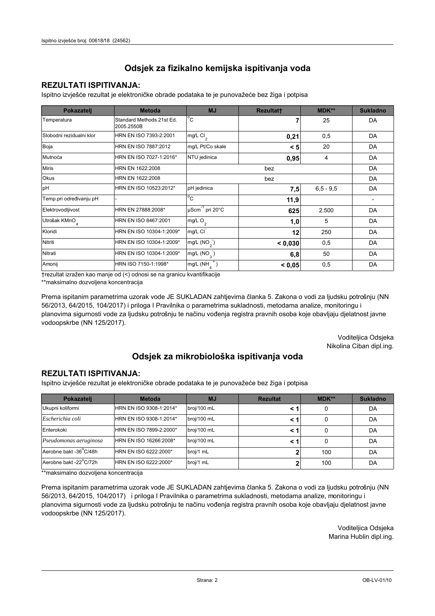### **REZULTATI ISPITIVANJA:**

Ispitno izviešće rezultat je elektroničke obrade podataka te je punovažeće bez žiga i potpisa

| Pokazatelj                | <b>Metoda</b>                           | <b>MJ</b>                   | Rezultatt | <b>MDK**</b>  | <b>Sukladno</b> |
|---------------------------|-----------------------------------------|-----------------------------|-----------|---------------|-----------------|
| Temperatura               | Standard Methods 21st Ed.<br>2005.2550B | $^{\circ}$ C                |           | 25            | DA              |
| Slobodni rezidualni klor  | HRN EN ISO 7393-2:2001                  | $mg/L$ Cl <sub>2</sub>      | 0,21      | 0,5           | DA              |
| Boja                      | HRN EN ISO 7887:2012                    | mg/L Pt/Co skale            | < 5       | 20            | DA              |
| Mutnoća                   | HRN EN ISO 7027-1:2016*                 | NTU jedinica                | 0,95      | 4             | DA              |
| <b>Miris</b>              | HRN EN 1622:2008                        |                             | DA        |               |                 |
| Okus                      | HRN EN 1622:2008                        |                             | DA        |               |                 |
| pH                        | HRN EN ISO 10523:2012*                  | pH jedinica                 | 7,5       | $6, 5 - 9, 5$ | DA              |
| Temp.pri određivanju pH   |                                         | $^{\circ}$ C                | 11,9      |               |                 |
| Elektrovodljivost         | HRN EN 27888:2008*                      | µScm <sup>-1</sup> pri 20°C | 625       | 2.500         | DA              |
| Utrošak KMnO <sub>4</sub> | HRN EN ISO 8467:2001                    | mg/L O <sub>2</sub>         | 1,0       | 5             | DA              |
| Kloridi                   | HRN EN ISO 10304-1:2009*                | mg/L CI                     | 12        | 250           | DA              |
| Nitriti                   | HRN EN ISO 10304-1:2009*                | mg/L $(NO2)$                | < 0.030   | 0,5           | DA              |
| Nitrati                   | HRN EN ISO 10304-1:2009*                | mg/L $(NO_{\alpha}^{-})$    | 6,8       | 50            | DA              |
| Amonij                    | HRN ISO 7150-1:1998*                    | mg/L (NH                    | < 0.05    | 0,5           | DA              |

trezultat izražen kao manje od (<) odnosi se na granicu kvantifikacije

\*\*maksimalno dozvoljena koncentracija

Prema ispitanim parametrima uzorak vode JE SUKLADAN zahtjevima članka 5. Zakona o vodi za ljudsku potrošnju (NN 56/2013, 64/2015, 104/2017) i priloga I Pravilnika o parametrima sukladnosti, metodama analize, monitoringu i planovima sigurnosti vode za ljudsku potrošnju te načinu vođenja registra pravnih osoba koje obavljaju djelatnost javne vodoopskrbe (NN 125/2017).

> Voditeljica Odsjeka Nikolina Ciban dipl.ing.

## Odsjek za mikrobiološka ispitivanja voda

#### **REZULTATI ISPITIVANJA:**

Ispitno izvješće rezultat je elektroničke obrade podataka te je punovažeće bez žiga i potpisa

| Pokazatelj             | <b>Metoda</b>           | <b>MJ</b>   | <b>Rezultat</b> | $MDK**$ | <b>Sukladno</b> |
|------------------------|-------------------------|-------------|-----------------|---------|-----------------|
| Ukupni koliformi       | HRN EN ISO 9308-1:2014* | broj/100 mL |                 | 0       | DA              |
| Escherichia coli       | HRN EN ISO 9308-1:2014* | broj/100 mL |                 | 0       | DA              |
| Enterokoki             | HRN EN ISO 7899-2:2000* | broj/100 mL |                 | 0       | DA              |
| Pseudomonas aeruginosa | HRN EN ISO 16266:2008*  | broj/100 mL | < '             | 0       | DA              |
| Aerobne bakt -36 C/48h | HRN EN ISO 6222:2000*   | broj/1 mL   |                 | 100     | DA              |
| Aerobne bakt -22°C/72h | HRN EN ISO 6222:2000*   | broj/1 mL   |                 | 100     | DA              |

\*\*maksimalno dozvoljena koncentracija

Prema ispitanim parametrima uzorak vode JE SUKLADAN zahtjevima članka 5. Zakona o vodi za ljudsku potrošnju (NN 56/2013, 64/2015, 104/2017) i priloga I Pravilnika o parametrima sukladnosti, metodama analize, monitoringu i planovima sigurnosti vode za ljudsku potrošnju te načinu vođenja registra pravnih osoba koje obavljaju djelatnost javne vodoopskrbe (NN 125/2017).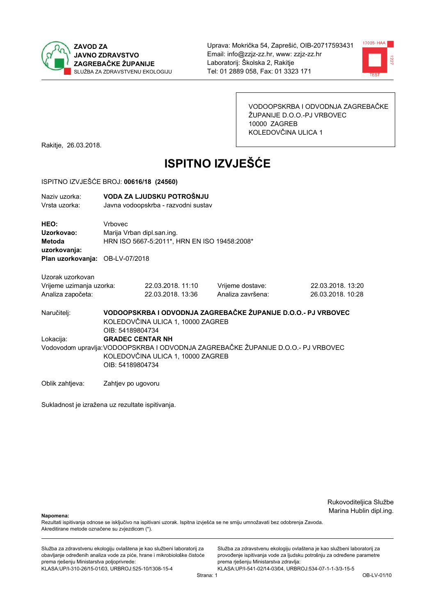



VODOOPSKRBA I ODVODNJA ZAGREBAČKE ŽUPANIJE D.O.O.-PJ VRBOVEC 10000 ZAGREB KOLEDOVČINA ULICA 1

Rakitje, 26.03.2018.

# **ISPITNO IZVJEŠĆE**

#### ISPITNO IZVJEŠĆE BROJ: 00616/18 (24560)

| Naziv uzorka:<br>Vrsta uzorka:                                                         |                                                                                                                                            | VODA ZA LJUDSKU POTROŠNJU<br>Javna vodoopskrba - razvodni sustav           |                                       |                                        |  |
|----------------------------------------------------------------------------------------|--------------------------------------------------------------------------------------------------------------------------------------------|----------------------------------------------------------------------------|---------------------------------------|----------------------------------------|--|
| HEO:<br>Uzorkovao:<br><b>Metoda</b><br>uzorkovanja:<br>Plan uzorkovanja: OB-LV-07/2018 | Vrhovec                                                                                                                                    | Marija Vrban dipl.san.ing.<br>HRN ISO 5667-5:2011*, HRN EN ISO 19458:2008* |                                       |                                        |  |
| Uzorak uzorkovan                                                                       |                                                                                                                                            |                                                                            |                                       |                                        |  |
| Vrijeme uzimanja uzorka:<br>Analiza započeta:                                          |                                                                                                                                            | 22.03.2018. 11:10<br>22.03.2018. 13:36                                     | Vrijeme dostave:<br>Analiza završena: | 22.03.2018. 13:20<br>26.03.2018. 10:28 |  |
| Naručitelj:                                                                            | VODOOPSKRBA I ODVODNJA ZAGREBAČKE ŽUPANIJE D.O.O.- PJ VRBOVEC<br>KOLEDOVČINA ULICA 1, 10000 ZAGREB<br>OIB: 54189804734                     |                                                                            |                                       |                                        |  |
| Lokacija:                                                                              | <b>GRADEC CENTAR NH</b>                                                                                                                    |                                                                            |                                       |                                        |  |
|                                                                                        | Vodovodom upravlja: VODOOPSKRBA I ODVODNJA ZAGREBAČKE ŽUPANIJE D.O.O.- PJ VRBOVEC<br>KOLEDOVČINA ULICA 1, 10000 ZAGREB<br>OIB: 54189804734 |                                                                            |                                       |                                        |  |
| Oblik zahtjeva:                                                                        | Zahtjev po ugovoru                                                                                                                         |                                                                            |                                       |                                        |  |

Sukladnost je izražena uz rezultate ispitivanja.

Rukovoditeljica Službe Marina Hublin dipl.ing.

Napomena:

Rezultati ispitivanja odnose se isključivo na ispitivani uzorak. Ispitna izvješća se ne smiju umnožavati bez odobrenja Zavoda. Akreditirane metode označene su zvjezdicom (\*).

Služba za zdravstvenu ekologiju ovlaštena je kao službeni laboratorij za obavljanje određenih analiza vode za piće, hrane i mikrobiološke čistoće prema rješenju Ministarstva poljoprivrede: KLASA:UP/I-310-26/15-01/03, URBROJ:525-10/1308-15-4

Služba za zdravstvenu ekologiju ovlaštena je kao službeni laboratorij za provođenje ispitivanja vode za ljudsku potrošnju za određene parametre prema rješenju Ministarstva zdravlja: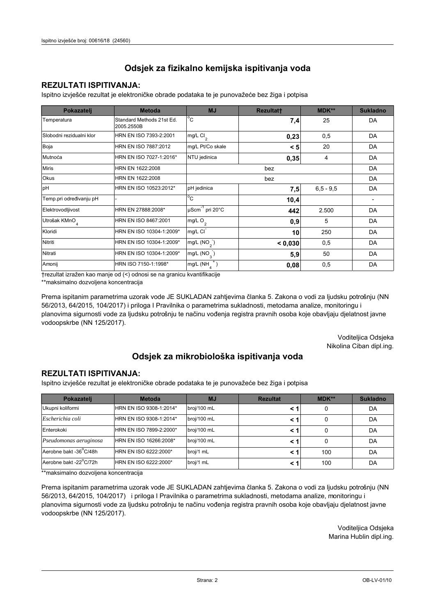### **REZULTATI ISPITIVANJA:**

Ispitno izviešće rezultat je elektroničke obrade podataka te je punovažeće bez žiga i potpisa

| Pokazatelj                | <b>Metoda</b>                           | <b>MJ</b>                       | <b>Rezultatt</b> | <b>MDK**</b>  | <b>Sukladno</b> |
|---------------------------|-----------------------------------------|---------------------------------|------------------|---------------|-----------------|
| Temperatura               | Standard Methods 21st Ed.<br>2005.2550B | $^{\circ}$ C                    | 7,4              | 25            | DA              |
| Slobodni rezidualni klor  | HRN EN ISO 7393-2:2001                  | $mg/L$ Cl <sub>2</sub>          | 0,23             | 0,5           | DA              |
| Boja                      | HRN EN ISO 7887:2012                    | mg/L Pt/Co skale                | < 5              | 20            | DA              |
| Mutnoća                   | HRN EN ISO 7027-1:2016*                 | NTU jedinica                    | 0,35             | 4             | DA              |
| <b>Miris</b>              | HRN EN 1622:2008                        |                                 | DA               |               |                 |
| Okus                      | HRN EN 1622:2008                        |                                 | DA               |               |                 |
| pH                        | HRN EN ISO 10523:2012*                  | pH jedinica                     | 7,5              | $6, 5 - 9, 5$ | DA              |
| Temp.pri određivanju pH   |                                         | $^{\circ}$ C                    | 10,4             |               |                 |
| Elektrovodljivost         | HRN EN 27888:2008*                      | µScm <sup>-1</sup> pri 20°C     | 442              | 2.500         | DA              |
| Utrošak KMnO <sub>4</sub> | HRN EN ISO 8467:2001                    | mg/L O <sub>2</sub>             | 0,9              | 5             | DA              |
| Kloridi                   | HRN EN ISO 10304-1:2009*                | mg/L CI                         | 10               | 250           | DA              |
| Nitriti                   | HRN EN ISO 10304-1:2009*                | mg/L $(NO2)$                    | < 0,030          | 0,5           | DA              |
| Nitrati                   | HRN EN ISO 10304-1:2009*                | mg/L $(NO_{\alpha}^{-})$<br>5,9 |                  | 50            | DA              |
| Amonij                    | HRN ISO 7150-1:1998*                    | mg/L (NH                        | 0,08             | 0,5           | DA              |

trezultat izražen kao manje od (<) odnosi se na granicu kvantifikacije

\*\*maksimalno dozvoljena koncentracija

Prema ispitanim parametrima uzorak vode JE SUKLADAN zahtjevima članka 5. Zakona o vodi za ljudsku potrošnju (NN 56/2013, 64/2015, 104/2017) i priloga I Pravilnika o parametrima sukladnosti, metodama analize, monitoringu i planovima sigurnosti vode za ljudsku potrošnju te načinu vođenja registra pravnih osoba koje obavljaju djelatnost javne vodoopskrbe (NN 125/2017).

> Voditeljica Odsjeka Nikolina Ciban dipl.ing.

## Odsjek za mikrobiološka ispitivanja voda

#### **REZULTATI ISPITIVANJA:**

Ispitno izvješće rezultat je elektroničke obrade podataka te je punovažeće bez žiga i potpisa

| Pokazatelj             | <b>Metoda</b>           | <b>MJ</b>   | <b>Rezultat</b> | $MDK**$ | <b>Sukladno</b> |
|------------------------|-------------------------|-------------|-----------------|---------|-----------------|
| Ukupni koliformi       | HRN EN ISO 9308-1:2014* | broj/100 mL |                 | 0       | DA              |
| Escherichia coli       | HRN EN ISO 9308-1:2014* | broj/100 mL |                 | 0       | DA              |
| Enterokoki             | HRN EN ISO 7899-2:2000* | broj/100 mL |                 | 0       | DA              |
| Pseudomonas aeruginosa | HRN EN ISO 16266:2008*  | broj/100 mL | < 1             | 0       | DA              |
| Aerobne bakt -36 C/48h | HRN EN ISO 6222:2000*   | broj/1 mL   |                 | 100     | DA              |
| Aerobne bakt -22°C/72h | HRN EN ISO 6222:2000*   | broj/1 mL   |                 | 100     | DA              |

\*\*maksimalno dozvoljena koncentracija

Prema ispitanim parametrima uzorak vode JE SUKLADAN zahtjevima članka 5. Zakona o vodi za ljudsku potrošnju (NN 56/2013, 64/2015, 104/2017) i priloga I Pravilnika o parametrima sukladnosti, metodama analize, monitoringu i planovima sigurnosti vode za ljudsku potrošnju te načinu vođenja registra pravnih osoba koje obavljaju djelatnost javne vodoopskrbe (NN 125/2017).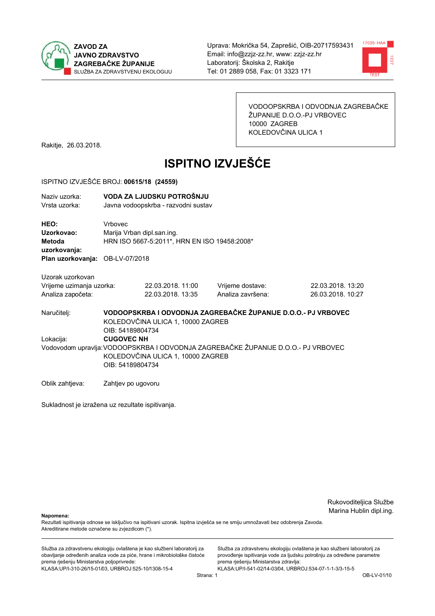



VODOOPSKRBA I ODVODNJA ZAGREBAČKE ŽUPANIJE D.O.O.-PJ VRBOVEC 10000 ZAGREB KOLEDOVČINA ULICA 1

Rakitje, 26.03.2018.

# **ISPITNO IZVJEŠĆE**

#### ISPITNO IZVJEŠĆE BROJ: 00615/18 (24559)

| Naziv uzorka:<br>Vrsta uzorka:                |                    | VODA ZA LJUDSKU POTROŠNJU<br>Javna vodoopskrba - razvodni sustav           |                                                                                   |                                        |  |  |
|-----------------------------------------------|--------------------|----------------------------------------------------------------------------|-----------------------------------------------------------------------------------|----------------------------------------|--|--|
| HEO:<br>Uzorkovao:<br>Metoda<br>uzorkovanja:  | Vrbovec            | Marija Vrban dipl.san.ing.<br>HRN ISO 5667-5:2011*, HRN EN ISO 19458:2008* |                                                                                   |                                        |  |  |
| Plan uzorkovanja: OB-LV-07/2018               |                    |                                                                            |                                                                                   |                                        |  |  |
| Uzorak uzorkovan                              |                    |                                                                            |                                                                                   |                                        |  |  |
| Vrijeme uzimanja uzorka:<br>Analiza započeta: |                    | 22.03.2018. 11:00<br>22.03.2018. 13:35                                     | Vrijeme dostave:<br>Analiza završena:                                             | 22.03.2018. 13:20<br>26.03.2018. 10:27 |  |  |
| Naručitelj:                                   | OIB: 54189804734   | KOLEDOVČINA ULICA 1, 10000 ZAGREB                                          | VODOOPSKRBA I ODVODNJA ZAGREBAČKE ŽUPANIJE D.O.O.- PJ VRBOVEC                     |                                        |  |  |
| Lokacija:                                     | <b>CUGOVEC NH</b>  |                                                                            |                                                                                   |                                        |  |  |
|                                               | OIB: 54189804734   | KOLEDOVČINA ULICA 1, 10000 ZAGREB                                          | Vodovodom upravlja: VODOOPSKRBA I ODVODNJA ZAGREBAČKE ŽUPANIJE D.O.O.- PJ VRBOVEC |                                        |  |  |
| Oblik zahtjeva:                               | Zahtjev po ugovoru |                                                                            |                                                                                   |                                        |  |  |

Sukladnost je izražena uz rezultate ispitivanja.

Rukovoditeljica Službe Marina Hublin dipl.ing.

Napomena:

Rezultati ispitivanja odnose se isključivo na ispitivani uzorak. Ispitna izvješća se ne smiju umnožavati bez odobrenja Zavoda. Akreditirane metode označene su zvjezdicom (\*).

Služba za zdravstvenu ekologiju ovlaštena je kao službeni laboratorij za obavljanje određenih analiza vode za piće, hrane i mikrobiološke čistoće prema rješenju Ministarstva poljoprivrede: KLASA:UP/I-310-26/15-01/03, URBROJ:525-10/1308-15-4

Služba za zdravstvenu ekologiju ovlaštena je kao službeni laboratorij za provođenje ispitivanja vode za ljudsku potrošnju za određene parametre prema rješenju Ministarstva zdravlja: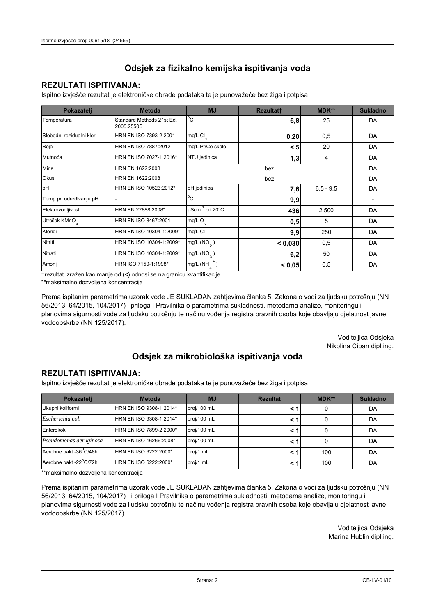### **REZULTATI ISPITIVANJA:**

Ispitno izviešće rezultat je elektroničke obrade podataka te je punovažeće bez žiga i potpisa

| Pokazatelj                | <b>Metoda</b>                           | <b>MJ</b>                   | <b>Rezultatt</b> | <b>MDK**</b>  | <b>Sukladno</b> |
|---------------------------|-----------------------------------------|-----------------------------|------------------|---------------|-----------------|
| Temperatura               | Standard Methods 21st Ed.<br>2005.2550B | $^{\circ}$ C                | 6,8              | 25            | DA              |
| Slobodni rezidualni klor  | HRN EN ISO 7393-2:2001                  | $mg/L$ Cl <sub>2</sub>      | 0,20             | 0,5           | DA              |
| Boja                      | HRN EN ISO 7887:2012                    | mg/L Pt/Co skale            | < 5              | 20            | DA              |
| Mutnoća                   | HRN EN ISO 7027-1:2016*                 | NTU jedinica                | 1,3              | 4             | DA              |
| <b>Miris</b>              | HRN EN 1622:2008                        | bez                         |                  |               | DA              |
| Okus                      | HRN EN 1622:2008                        | bez                         |                  |               | DA              |
| pH                        | HRN EN ISO 10523:2012*                  | pH jedinica                 | 7,6              | $6, 5 - 9, 5$ | DA              |
| Temp.pri određivanju pH   |                                         | $^{\circ}$ C                | 9,9              |               |                 |
| Elektrovodljivost         | HRN EN 27888:2008*                      | µScm <sup>-1</sup> pri 20°C | 436              | 2.500         | DA              |
| Utrošak KMnO <sub>4</sub> | HRN EN ISO 8467:2001                    | mg/L O <sub>2</sub>         | 0,5              | 5             | DA              |
| Kloridi                   | HRN EN ISO 10304-1:2009*                | mg/L CI                     | 9,9              | 250           | DA              |
| Nitriti                   | HRN EN ISO 10304-1:2009*                | mg/L $(NO2)$                | < 0,030          | 0,5           | DA              |
| Nitrati                   | HRN EN ISO 10304-1:2009*                | mg/L (NO <sub>3</sub> )     | 6,2              | 50            | DA              |
| Amonij                    | HRN ISO 7150-1:1998*                    | mg/L (NH                    | < 0.05           | 0,5           | DA              |

trezultat izražen kao manje od (<) odnosi se na granicu kvantifikacije

\*\*maksimalno dozvoljena koncentracija

Prema ispitanim parametrima uzorak vode JE SUKLADAN zahtjevima članka 5. Zakona o vodi za ljudsku potrošnju (NN 56/2013, 64/2015, 104/2017) i priloga I Pravilnika o parametrima sukladnosti, metodama analize, monitoringu i planovima sigurnosti vode za ljudsku potrošnju te načinu vođenja registra pravnih osoba koje obavljaju djelatnost javne vodoopskrbe (NN 125/2017).

> Voditeljica Odsjeka Nikolina Ciban dipl.ing.

## Odsjek za mikrobiološka ispitivanja voda

#### **REZULTATI ISPITIVANJA:**

Ispitno izvješće rezultat je elektroničke obrade podataka te je punovažeće bez žiga i potpisa

| Pokazatelj             | <b>Metoda</b>           | <b>MJ</b>   | <b>Rezultat</b> | $MDK**$ | <b>Sukladno</b> |
|------------------------|-------------------------|-------------|-----------------|---------|-----------------|
| Ukupni koliformi       | HRN EN ISO 9308-1:2014* | broj/100 mL |                 | 0       | DA              |
| Escherichia coli       | HRN EN ISO 9308-1:2014* | broj/100 mL |                 | 0       | DA              |
| Enterokoki             | HRN EN ISO 7899-2:2000* | broj/100 mL |                 | 0       | DA              |
| Pseudomonas aeruginosa | HRN EN ISO 16266:2008*  | broj/100 mL |                 | 0       | DA              |
| Aerobne bakt -36°C/48h | HRN EN ISO 6222:2000*   | broj/1 mL   |                 | 100     | DA              |
| Aerobne bakt -22°C/72h | HRN EN ISO 6222:2000*   | broj/1 mL   |                 | 100     | DA              |

\*\*maksimalno dozvoljena koncentracija

Prema ispitanim parametrima uzorak vode JE SUKLADAN zahtjevima članka 5. Zakona o vodi za ljudsku potrošnju (NN 56/2013, 64/2015, 104/2017) i priloga I Pravilnika o parametrima sukladnosti, metodama analize, monitoringu i planovima sigurnosti vode za ljudsku potrošnju te načinu vođenja registra pravnih osoba koje obavljaju djelatnost javne vodoopskrbe (NN 125/2017).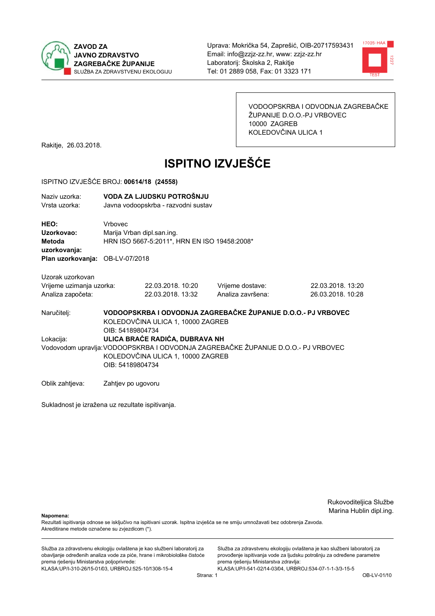



VODOOPSKRBA I ODVODNJA ZAGREBAČKE ŽUPANIJE D.O.O.-PJ VRBOVEC 10000 ZAGREB KOLEDOVČINA ULICA 1

Rakitje, 26.03.2018.

# **ISPITNO IZVJEŠĆE**

#### ISPITNO IZVJEŠĆE BROJ: 00614/18 (24558)

| Naziv uzorka:<br>Vrsta uzorka:                                                  |                                                                                                                                            | VODA ZA LJUDSKU POTROŠNJU<br>Javna vodoopskrba - razvodni sustav           |                   |                                                               |  |  |
|---------------------------------------------------------------------------------|--------------------------------------------------------------------------------------------------------------------------------------------|----------------------------------------------------------------------------|-------------------|---------------------------------------------------------------|--|--|
| HEO:<br>Uzorkovao:<br>Metoda<br>uzorkovanja:<br>Plan uzorkovanja: OB-LV-07/2018 | Vrbovec                                                                                                                                    | Marija Vrban dipl.san.ing.<br>HRN ISO 5667-5:2011*, HRN EN ISO 19458:2008* |                   |                                                               |  |  |
| Uzorak uzorkovan                                                                |                                                                                                                                            |                                                                            |                   |                                                               |  |  |
| Vrijeme uzimanja uzorka:                                                        |                                                                                                                                            | 22.03.2018. 10:20                                                          | Vrijeme dostave:  | 22.03.2018. 13:20                                             |  |  |
| Analiza započeta:                                                               |                                                                                                                                            | 22.03.2018. 13:32                                                          | Analiza završena: | 26.03.2018. 10:28                                             |  |  |
| Naručitelj:                                                                     | OIB: 54189804734                                                                                                                           | KOLEDOVČINA ULICA 1, 10000 ZAGREB                                          |                   | VODOOPSKRBA I ODVODNJA ZAGREBAČKE ŽUPANIJE D.O.O.- PJ VRBOVEC |  |  |
| Lokacija:                                                                       |                                                                                                                                            | ULICA BRAĆE RADIĆA, DUBRAVA NH                                             |                   |                                                               |  |  |
|                                                                                 | Vodovodom upravlja: VODOOPSKRBA I ODVODNJA ZAGREBAČKE ŽUPANIJE D.O.O.- PJ VRBOVEC<br>KOLEDOVČINA ULICA 1, 10000 ZAGREB<br>OIB: 54189804734 |                                                                            |                   |                                                               |  |  |
| Oblik zahtjeva:                                                                 | Zahtjev po ugovoru                                                                                                                         |                                                                            |                   |                                                               |  |  |

Sukladnost je izražena uz rezultate ispitivanja.

Rukovoditeljica Službe Marina Hublin dipl.ing.

Napomena:

Rezultati ispitivanja odnose se isključivo na ispitivani uzorak. Ispitna izvješća se ne smiju umnožavati bez odobrenja Zavoda. Akreditirane metode označene su zvjezdicom (\*).

Služba za zdravstvenu ekologiju ovlaštena je kao službeni laboratorij za obavljanje određenih analiza vode za piće, hrane i mikrobiološke čistoće prema rješenju Ministarstva poljoprivrede: KLASA:UP/I-310-26/15-01/03, URBROJ:525-10/1308-15-4

Služba za zdravstvenu ekologiju ovlaštena je kao službeni laboratorij za provođenje ispitivanja vode za ljudsku potrošnju za određene parametre prema rješenju Ministarstva zdravlja: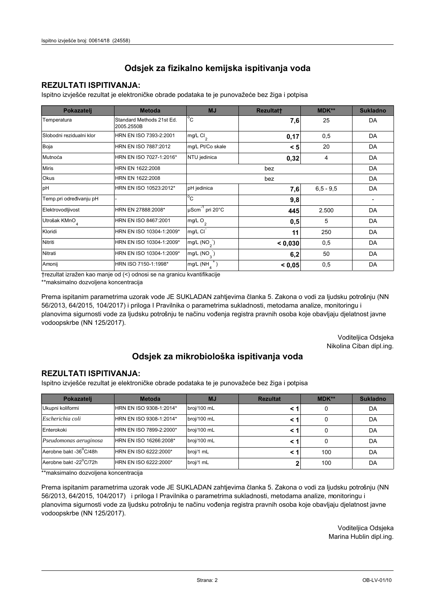### **REZULTATI ISPITIVANJA:**

Ispitno izviešće rezultat je elektroničke obrade podataka te je punovažeće bez žiga i potpisa

| Pokazatelj                | <b>Metoda</b>                           | <b>MJ</b>                   | Rezultatt | <b>MDK**</b>  | <b>Sukladno</b> |
|---------------------------|-----------------------------------------|-----------------------------|-----------|---------------|-----------------|
| Temperatura               | Standard Methods 21st Ed.<br>2005.2550B | $^{\circ}$ C                | 7,6       | 25            | DA              |
| Slobodni rezidualni klor  | HRN EN ISO 7393-2:2001                  | $mg/L$ Cl <sub>2</sub>      | 0,17      | 0,5           | DA              |
| Boja                      | HRN EN ISO 7887:2012                    | mg/L Pt/Co skale            | < 5       | 20            | DA              |
| Mutnoća                   | HRN EN ISO 7027-1:2016*                 | NTU jedinica                | 0,32      | 4             | DA              |
| <b>Miris</b>              | HRN EN 1622:2008                        | bez                         |           |               | DA              |
| Okus                      | HRN EN 1622:2008                        | bez                         |           |               | DA              |
| pH                        | HRN EN ISO 10523:2012*                  | pH jedinica                 | 7,6       | $6, 5 - 9, 5$ | DA              |
| Temp.pri određivanju pH   |                                         | $^{\circ}$ C                | 9,8       |               |                 |
| Elektrovodljivost         | HRN EN 27888:2008*                      | µScm <sup>-1</sup> pri 20°C | 445       | 2.500         | DA              |
| Utrošak KMnO <sub>4</sub> | HRN EN ISO 8467:2001                    | mg/L O <sub>2</sub>         | 0,5       | 5             | DA              |
| Kloridi                   | HRN EN ISO 10304-1:2009*                | mg/L CI                     | 11        | 250           | DA              |
| Nitriti                   | HRN EN ISO 10304-1:2009*                | mg/L $(NO2)$                | < 0.030   | 0,5           | DA              |
| Nitrati                   | HRN EN ISO 10304-1:2009*                | mg/L $(NO_{\alpha}^{-})$    | 6,2       | 50            | DA              |
| Amonij                    | HRN ISO 7150-1:1998*                    | mg/L (NH                    | < 0.05    | 0,5           | DA              |

trezultat izražen kao manje od (<) odnosi se na granicu kvantifikacije

\*\*maksimalno dozvoljena koncentracija

Prema ispitanim parametrima uzorak vode JE SUKLADAN zahtjevima članka 5. Zakona o vodi za ljudsku potrošnju (NN 56/2013, 64/2015, 104/2017) i priloga I Pravilnika o parametrima sukladnosti, metodama analize, monitoringu i planovima sigurnosti vode za ljudsku potrošnju te načinu vođenja registra pravnih osoba koje obavljaju djelatnost javne vodoopskrbe (NN 125/2017).

> Voditeljica Odsjeka Nikolina Ciban dipl.ing.

## Odsjek za mikrobiološka ispitivanja voda

#### **REZULTATI ISPITIVANJA:**

Ispitno izvješće rezultat je elektroničke obrade podataka te je punovažeće bez žiga i potpisa

| Pokazatelj             | <b>Metoda</b>           | <b>MJ</b>   | <b>Rezultat</b> | $MDK**$ | <b>Sukladno</b> |
|------------------------|-------------------------|-------------|-----------------|---------|-----------------|
| Ukupni koliformi       | HRN EN ISO 9308-1:2014* | broj/100 mL |                 | 0       | DA              |
| Escherichia coli       | HRN EN ISO 9308-1:2014* | broj/100 mL |                 | 0       | DA              |
| Enterokoki             | HRN EN ISO 7899-2:2000* | broj/100 mL |                 | 0       | DA              |
| Pseudomonas aeruginosa | HRN EN ISO 16266:2008*  | broj/100 mL |                 | 0       | DA              |
| Aerobne bakt -36°C/48h | HRN EN ISO 6222:2000*   | broj/1 mL   |                 | 100     | DA              |
| Aerobne bakt -22°C/72h | HRN EN ISO 6222:2000*   | broj/1 mL   |                 | 100     | DA              |

\*\*maksimalno dozvoljena koncentracija

Prema ispitanim parametrima uzorak vode JE SUKLADAN zahtjevima članka 5. Zakona o vodi za ljudsku potrošnju (NN 56/2013, 64/2015, 104/2017) i priloga I Pravilnika o parametrima sukladnosti, metodama analize, monitoringu i planovima sigurnosti vode za ljudsku potrošnju te načinu vođenja registra pravnih osoba koje obavljaju djelatnost javne vodoopskrbe (NN 125/2017).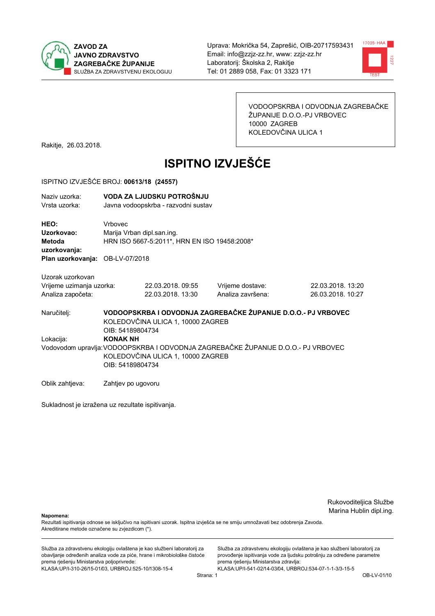



VODOOPSKRBA I ODVODNJA ZAGREBAČKE ŽUPANIJE D.O.O.-PJ VRBOVEC 10000 ZAGREB KOLEDOVČINA ULICA 1

Rakitje, 26.03.2018.

# **ISPITNO IZVJEŠĆE**

#### ISPITNO IZVJEŠĆE BROJ: 00613/18 (24557)

| Naziv uzorka:<br>Vrsta uzorka:                                                  |                                                                                                                                                               | VODA ZA LJUDSKU POTROŠNJU<br>Javna vodoopskrba - razvodni sustav           |                                       |                                                               |  |  |
|---------------------------------------------------------------------------------|---------------------------------------------------------------------------------------------------------------------------------------------------------------|----------------------------------------------------------------------------|---------------------------------------|---------------------------------------------------------------|--|--|
| HEO:<br>Uzorkovao:<br>Metoda<br>uzorkovanja:<br>Plan uzorkovanja: OB-LV-07/2018 | <b>Vrhovec</b>                                                                                                                                                | Marija Vrban dipl.san.ing.<br>HRN ISO 5667-5:2011*, HRN EN ISO 19458:2008* |                                       |                                                               |  |  |
| Uzorak uzorkovan                                                                |                                                                                                                                                               |                                                                            |                                       |                                                               |  |  |
| Vrijeme uzimanja uzorka:<br>Analiza započeta:                                   |                                                                                                                                                               | 22.03.2018. 09:55<br>22.03.2018. 13:30                                     | Vrijeme dostave:<br>Analiza završena: | 22.03.2018. 13:20<br>26.03.2018. 10:27                        |  |  |
| Naručitelj:                                                                     | OIB: 54189804734                                                                                                                                              | KOLEDOVČINA ULICA 1, 10000 ZAGREB                                          |                                       | VODOOPSKRBA I ODVODNJA ZAGREBAČKE ŽUPANIJE D.O.O.- PJ VRBOVEC |  |  |
| Lokacija:                                                                       | <b>KONAK NH</b><br>Vodovodom upravlja: VODOOPSKRBA I ODVODNJA ZAGREBAČKE ŽUPANIJE D.O.O.- PJ VRBOVEC<br>KOLEDOVČINA ULICA 1, 10000 ZAGREB<br>OIB: 54189804734 |                                                                            |                                       |                                                               |  |  |
| Oblik zahtjeva:                                                                 | Zahtjev po ugovoru                                                                                                                                            |                                                                            |                                       |                                                               |  |  |

Sukladnost je izražena uz rezultate ispitivanja.

Rukovoditeljica Službe Marina Hublin dipl.ing.

Napomena:

Rezultati ispitivanja odnose se isključivo na ispitivani uzorak. Ispitna izvješća se ne smiju umnožavati bez odobrenja Zavoda. Akreditirane metode označene su zvjezdicom (\*).

Služba za zdravstvenu ekologiju ovlaštena je kao službeni laboratorij za obavljanje određenih analiza vode za piće, hrane i mikrobiološke čistoće prema rješenju Ministarstva poljoprivrede: KLASA:UP/I-310-26/15-01/03, URBROJ:525-10/1308-15-4

Služba za zdravstvenu ekologiju ovlaštena je kao službeni laboratorij za provođenje ispitivanja vode za ljudsku potrošnju za određene parametre prema rješenju Ministarstva zdravlja: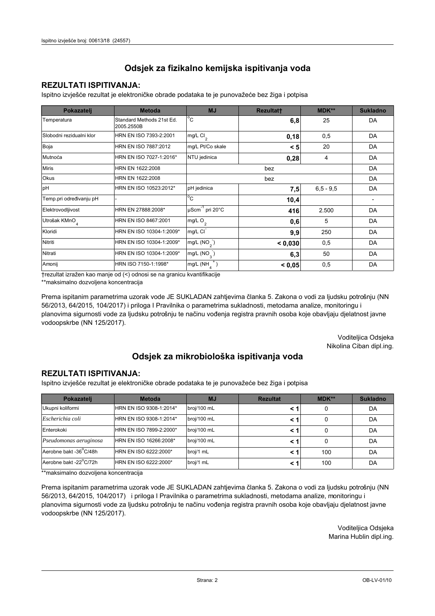### **REZULTATI ISPITIVANJA:**

Ispitno izviešće rezultat je elektroničke obrade podataka te je punovažeće bez žiga i potpisa

| Pokazatelj                | <b>Metoda</b>                           | <b>MJ</b>                   | <b>Rezultatt</b> | <b>MDK**</b>  | <b>Sukladno</b> |
|---------------------------|-----------------------------------------|-----------------------------|------------------|---------------|-----------------|
| Temperatura               | Standard Methods 21st Ed.<br>2005.2550B | $^{\circ}$ C                | 6,8              | 25            | DA              |
| Slobodni rezidualni klor  | HRN EN ISO 7393-2:2001                  | $mg/L$ Cl <sub>2</sub>      | 0,18             | 0,5           | DA              |
| Boja                      | HRN EN ISO 7887:2012                    | mg/L Pt/Co skale            | < 5              | 20            | DA              |
| Mutnoća                   | HRN EN ISO 7027-1:2016*                 | NTU jedinica                | 0,28             | 4             | DA              |
| <b>Miris</b>              | HRN EN 1622:2008                        | bez                         |                  |               | DA              |
| Okus                      | HRN EN 1622:2008                        | bez                         |                  |               | DA              |
| pH                        | HRN EN ISO 10523:2012*                  | pH jedinica                 | 7,5              | $6, 5 - 9, 5$ | DA              |
| Temp.pri određivanju pH   |                                         | $^{\circ}$ C                | 10,4             |               |                 |
| Elektrovodljivost         | HRN EN 27888:2008*                      | µScm <sup>-1</sup> pri 20°C | 416              | 2.500         | DA              |
| Utrošak KMnO <sub>4</sub> | HRN EN ISO 8467:2001                    | mg/L O <sub>2</sub>         | 0,6              | 5             | DA              |
| Kloridi                   | HRN EN ISO 10304-1:2009*                | mg/L CI                     | 9,9              | 250           | DA              |
| Nitriti                   | HRN EN ISO 10304-1:2009*                | mg/L $(NO2)$                | < 0,030          | 0,5           | DA              |
| Nitrati                   | HRN EN ISO 10304-1:2009*                | mg/L $(NO_{\alpha})$        | 6,3              | 50            | DA              |
| Amonij                    | HRN ISO 7150-1:1998*                    | mg/L (NH                    | < 0.05           | 0,5           | DA              |

trezultat izražen kao manje od (<) odnosi se na granicu kvantifikacije

\*\*maksimalno dozvoljena koncentracija

Prema ispitanim parametrima uzorak vode JE SUKLADAN zahtjevima članka 5. Zakona o vodi za ljudsku potrošnju (NN 56/2013, 64/2015, 104/2017) i priloga I Pravilnika o parametrima sukladnosti, metodama analize, monitoringu i planovima sigurnosti vode za ljudsku potrošnju te načinu vođenja registra pravnih osoba koje obavljaju djelatnost javne vodoopskrbe (NN 125/2017).

> Voditeljica Odsjeka Nikolina Ciban dipl.ing.

## Odsjek za mikrobiološka ispitivanja voda

#### **REZULTATI ISPITIVANJA:**

Ispitno izvješće rezultat je elektroničke obrade podataka te je punovažeće bez žiga i potpisa

| Pokazatelj             | <b>Metoda</b>           | <b>MJ</b>   | <b>Rezultat</b> | $MDK**$ | <b>Sukladno</b> |
|------------------------|-------------------------|-------------|-----------------|---------|-----------------|
| Ukupni koliformi       | HRN EN ISO 9308-1:2014* | broj/100 mL |                 | 0       | DA              |
| Escherichia coli       | HRN EN ISO 9308-1:2014* | broj/100 mL |                 | 0       | DA              |
| Enterokoki             | HRN EN ISO 7899-2:2000* | broj/100 mL |                 | 0       | DA              |
| Pseudomonas aeruginosa | HRN EN ISO 16266:2008*  | broj/100 mL | < 1             | 0       | DA              |
| Aerobne bakt -36 C/48h | HRN EN ISO 6222:2000*   | broj/1 mL   |                 | 100     | DA              |
| Aerobne bakt -22°C/72h | HRN EN ISO 6222:2000*   | broj/1 mL   |                 | 100     | DA              |

\*\*maksimalno dozvoljena koncentracija

Prema ispitanim parametrima uzorak vode JE SUKLADAN zahtjevima članka 5. Zakona o vodi za ljudsku potrošnju (NN 56/2013, 64/2015, 104/2017) i priloga I Pravilnika o parametrima sukladnosti, metodama analize, monitoringu i planovima sigurnosti vode za ljudsku potrošnju te načinu vođenja registra pravnih osoba koje obavljaju djelatnost javne vodoopskrbe (NN 125/2017).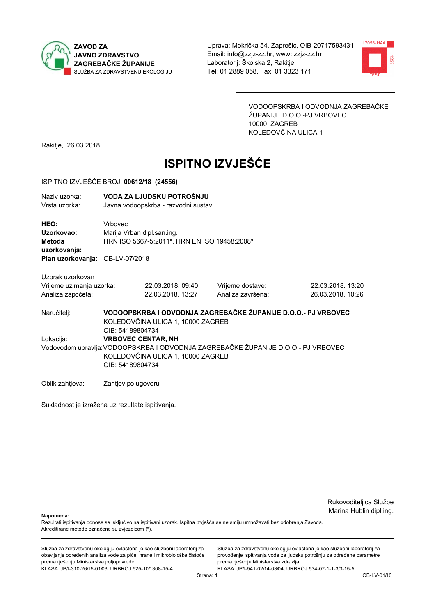



VODOOPSKRBA I ODVODNJA ZAGREBAČKE ŽUPANIJE D.O.O.-PJ VRBOVEC 10000 ZAGREB KOLEDOVČINA ULICA 1

Rakitje, 26.03.2018.

# **ISPITNO IZVJEŠĆE**

#### ISPITNO IZVJEŠĆE BROJ: 00612/18 (24556)

| Naziv uzorka:<br>Vrsta uzorka:                                                  |                                                                                                                                                                         | VODA ZA LJUDSKU POTROŠNJU<br>Javna vodoopskrba - razvodni sustav           |                                       |                                                               |  |  |
|---------------------------------------------------------------------------------|-------------------------------------------------------------------------------------------------------------------------------------------------------------------------|----------------------------------------------------------------------------|---------------------------------------|---------------------------------------------------------------|--|--|
| HEO:<br>Uzorkovao:<br>Metoda<br>uzorkovanja:<br>Plan uzorkovanja: OB-LV-07/2018 | Vrbovec                                                                                                                                                                 | Marija Vrban dipl.san.ing.<br>HRN ISO 5667-5:2011*, HRN EN ISO 19458:2008* |                                       |                                                               |  |  |
| Uzorak uzorkovan<br>Vrijeme uzimanja uzorka:<br>Analiza započeta:               |                                                                                                                                                                         | 22.03.2018.09:40<br>22.03.2018. 13:27                                      | Vrijeme dostave:<br>Analiza završena: | 22.03.2018. 13:20<br>26.03.2018. 10:26                        |  |  |
| Naručitelj:                                                                     | OIB: 54189804734                                                                                                                                                        | KOLEDOVČINA ULICA 1, 10000 ZAGREB                                          |                                       | VODOOPSKRBA I ODVODNJA ZAGREBAČKE ŽUPANIJE D.O.O.- PJ VRBOVEC |  |  |
| Lokacija:                                                                       | <b>VRBOVEC CENTAR, NH</b><br>Vodovodom upravlja: VODOOPSKRBA I ODVODNJA ZAGREBAČKE ŽUPANIJE D.O.O.- PJ VRBOVEC<br>KOLEDOVČINA ULICA 1, 10000 ZAGREB<br>OIB: 54189804734 |                                                                            |                                       |                                                               |  |  |
| Oblik zahtjeva:                                                                 | Zahtjev po ugovoru                                                                                                                                                      |                                                                            |                                       |                                                               |  |  |

Sukladnost je izražena uz rezultate ispitivanja.

Rukovoditeljica Službe Marina Hublin dipl.ing.

Napomena:

Rezultati ispitivanja odnose se isključivo na ispitivani uzorak. Ispitna izvješća se ne smiju umnožavati bez odobrenja Zavoda. Akreditirane metode označene su zvjezdicom (\*).

Služba za zdravstvenu ekologiju ovlaštena je kao službeni laboratorij za obavljanje određenih analiza vode za piće, hrane i mikrobiološke čistoće prema rješenju Ministarstva poljoprivrede: KLASA:UP/I-310-26/15-01/03, URBROJ:525-10/1308-15-4

Služba za zdravstvenu ekologiju ovlaštena je kao službeni laboratorij za provođenje ispitivanja vode za ljudsku potrošnju za određene parametre prema rješenju Ministarstva zdravlja: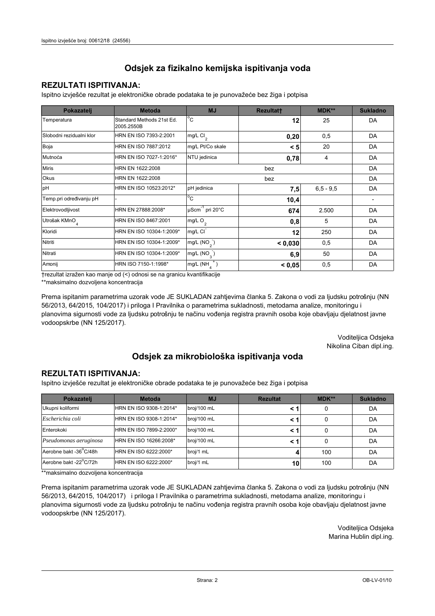### **REZULTATI ISPITIVANJA:**

Ispitno izviešće rezultat je elektroničke obrade podataka te je punovažeće bez žiga i potpisa

| Pokazatelj                | <b>Metoda</b>                           | <b>MJ</b>                   | Rezultatt | <b>MDK**</b>  | <b>Sukladno</b> |
|---------------------------|-----------------------------------------|-----------------------------|-----------|---------------|-----------------|
| Temperatura               | Standard Methods 21st Ed.<br>2005.2550B | $^{\circ}$ C                | 12        | 25            | DA              |
| Slobodni rezidualni klor  | HRN EN ISO 7393-2:2001                  | $mg/L$ Cl <sub>2</sub>      | 0,20      | 0,5           | DA              |
| Boja                      | HRN EN ISO 7887:2012                    | mg/L Pt/Co skale            | < 5       | 20            | DA              |
| Mutnoća                   | HRN EN ISO 7027-1:2016*                 | NTU jedinica                | 0,78      | 4             | DA              |
| <b>Miris</b>              | HRN EN 1622:2008                        |                             | DA        |               |                 |
| Okus                      | HRN EN 1622:2008                        | bez                         |           |               | DA              |
| pH                        | HRN EN ISO 10523:2012*                  | pH jedinica                 | 7,5       | $6, 5 - 9, 5$ | DA              |
| Temp.pri određivanju pH   |                                         | $^{\circ}$ C                | 10,4      |               |                 |
| Elektrovodljivost         | HRN EN 27888:2008*                      | µScm <sup>-1</sup> pri 20°C | 674       | 2.500         | DA              |
| Utrošak KMnO <sub>4</sub> | HRN EN ISO 8467:2001                    | mg/L O <sub>2</sub>         | 0,8       | 5             | DA              |
| Kloridi                   | HRN EN ISO 10304-1:2009*                | mg/L CI                     | 12        | 250           | DA              |
| Nitriti                   | HRN EN ISO 10304-1:2009*                | mg/L $(NO2)$                | < 0.030   | 0,5           | DA              |
| Nitrati                   | HRN EN ISO 10304-1:2009*                | mg/L $(NO_{\alpha}^{-})$    | 6,9       | 50            | DA              |
| Amonij                    | HRN ISO 7150-1:1998*                    | mg/L (NH                    | < 0.05    | 0,5           | DA              |

trezultat izražen kao manje od (<) odnosi se na granicu kvantifikacije

\*\*maksimalno dozvoljena koncentracija

Prema ispitanim parametrima uzorak vode JE SUKLADAN zahtjevima članka 5. Zakona o vodi za ljudsku potrošnju (NN 56/2013, 64/2015, 104/2017) i priloga I Pravilnika o parametrima sukladnosti, metodama analize, monitoringu i planovima sigurnosti vode za ljudsku potrošnju te načinu vođenja registra pravnih osoba koje obavljaju djelatnost javne vodoopskrbe (NN 125/2017).

> Voditeljica Odsjeka Nikolina Ciban dipl.ing.

## Odsjek za mikrobiološka ispitivanja voda

#### **REZULTATI ISPITIVANJA:**

Ispitno izvješće rezultat je elektroničke obrade podataka te je punovažeće bez žiga i potpisa

| Pokazatelj             | <b>Metoda</b>           | <b>MJ</b>   | <b>Rezultat</b> | $MDK**$ | <b>Sukladno</b> |
|------------------------|-------------------------|-------------|-----------------|---------|-----------------|
| Ukupni koliformi       | HRN EN ISO 9308-1:2014* | broj/100 mL |                 | 0       | DA              |
| Escherichia coli       | HRN EN ISO 9308-1:2014* | broj/100 mL |                 | 0       | DA              |
| Enterokoki             | HRN EN ISO 7899-2:2000* | broj/100 mL |                 | 0       | DA              |
| Pseudomonas aeruginosa | HRN EN ISO 16266:2008*  | broj/100 mL | < 1             | 0       | DA              |
| Aerobne bakt -36 C/48h | HRN EN ISO 6222:2000*   | broj/1 mL   |                 | 100     | DA              |
| Aerobne bakt -22°C/72h | HRN EN ISO 6222:2000*   | broj/1 mL   | 10              | 100     | DA              |

\*\*maksimalno dozvoljena koncentracija

Prema ispitanim parametrima uzorak vode JE SUKLADAN zahtjevima članka 5. Zakona o vodi za ljudsku potrošnju (NN 56/2013, 64/2015, 104/2017) i priloga I Pravilnika o parametrima sukladnosti, metodama analize, monitoringu i planovima sigurnosti vode za ljudsku potrošnju te načinu vođenja registra pravnih osoba koje obavljaju djelatnost javne vodoopskrbe (NN 125/2017).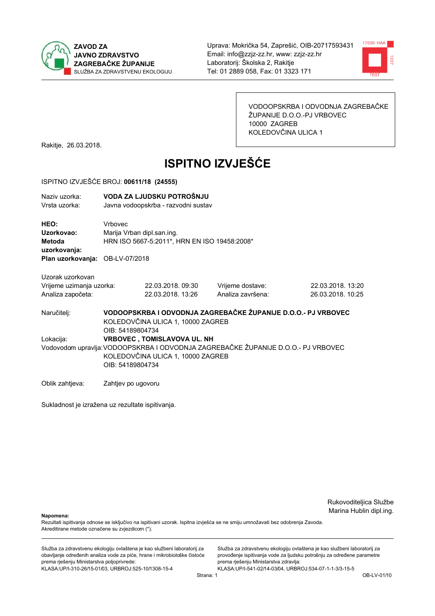



VODOOPSKRBA I ODVODNJA ZAGREBAČKE ŽUPANIJE D.O.O.-PJ VRBOVEC 10000 ZAGREB KOLEDOVČINA ULICA 1

Rakitje, 26.03.2018.

# **ISPITNO IZVJEŠĆE**

#### ISPITNO IZVJEŠĆE BROJ: 00611/18 (24555)

| Naziv uzorka:<br>Vrsta uzorka:                                                  |                    | VODA ZA LJUDSKU POTROŠNJU<br>Javna vodoopskrba - razvodni sustav           |                                                                                   |                   |  |  |
|---------------------------------------------------------------------------------|--------------------|----------------------------------------------------------------------------|-----------------------------------------------------------------------------------|-------------------|--|--|
| HEO:<br>Uzorkovao:<br>Metoda<br>uzorkovanja:<br>Plan uzorkovanja: OB-LV-07/2018 | <b>Vrhovec</b>     | Marija Vrban dipl.san.ing.<br>HRN ISO 5667-5:2011*, HRN EN ISO 19458:2008* |                                                                                   |                   |  |  |
| Uzorak uzorkovan                                                                |                    |                                                                            |                                                                                   |                   |  |  |
| Vrijeme uzimanja uzorka:                                                        |                    | 22.03.2018. 09:30                                                          | Vrijeme dostave:                                                                  | 22.03.2018. 13:20 |  |  |
| Analiza započeta:                                                               |                    | 22.03.2018. 13:26                                                          | Analiza završena:                                                                 | 26.03.2018. 10:25 |  |  |
| Naručitelj:                                                                     | OIB: 54189804734   | KOLEDOVČINA ULICA 1, 10000 ZAGREB                                          | VODOOPSKRBA I ODVODNJA ZAGREBAČKE ŽUPANIJE D.O.O.- PJ VRBOVEC                     |                   |  |  |
| Lokacija:                                                                       |                    | <b>VRBOVEC, TOMISLAVOVA UL. NH</b>                                         |                                                                                   |                   |  |  |
|                                                                                 | OIB: 54189804734   | KOLEDOVČINA ULICA 1, 10000 ZAGREB                                          | Vodovodom upravlja: VODOOPSKRBA I ODVODNJA ZAGREBAČKE ŽUPANIJE D.O.O.- PJ VRBOVEC |                   |  |  |
| Oblik zahtjeva:                                                                 | Zahtjev po ugovoru |                                                                            |                                                                                   |                   |  |  |

Sukladnost je izražena uz rezultate ispitivanja.

Rukovoditeljica Službe Marina Hublin dipl.ing.

Napomena:

Rezultati ispitivanja odnose se isključivo na ispitivani uzorak. Ispitna izvješća se ne smiju umnožavati bez odobrenja Zavoda. Akreditirane metode označene su zvjezdicom (\*).

Služba za zdravstvenu ekologiju ovlaštena je kao službeni laboratorij za obavljanje određenih analiza vode za piće, hrane i mikrobiološke čistoće prema rješenju Ministarstva poljoprivrede: KLASA:UP/I-310-26/15-01/03, URBROJ:525-10/1308-15-4

Služba za zdravstvenu ekologiju ovlaštena je kao službeni laboratorij za provođenje ispitivanja vode za ljudsku potrošnju za određene parametre prema rješenju Ministarstva zdravlja: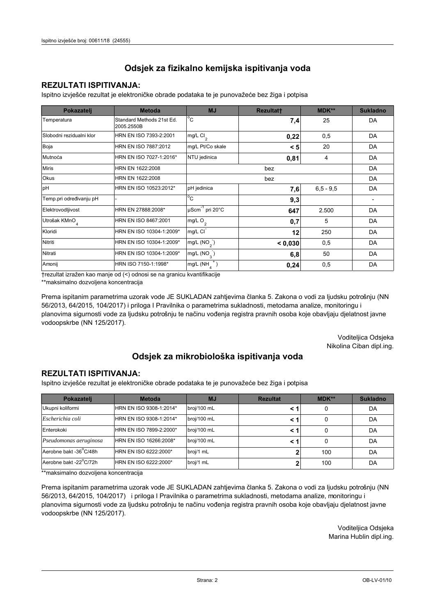### **REZULTATI ISPITIVANJA:**

Ispitno izviešće rezultat je elektroničke obrade podataka te je punovažeće bez žiga i potpisa

| Pokazatelj                | <b>Metoda</b>                           | <b>MJ</b>                   | Rezultatt | <b>MDK**</b>  | <b>Sukladno</b> |
|---------------------------|-----------------------------------------|-----------------------------|-----------|---------------|-----------------|
| Temperatura               | Standard Methods 21st Ed.<br>2005.2550B | $^{\circ}$ C                | 7,4       | 25            | DA              |
| Slobodni rezidualni klor  | HRN EN ISO 7393-2:2001                  | $mg/L$ Cl <sub>2</sub>      | 0,22      | 0,5           | DA              |
| Boja                      | HRN EN ISO 7887:2012                    | mg/L Pt/Co skale            | < 5       | 20            | DA              |
| Mutnoća                   | HRN EN ISO 7027-1:2016*                 | NTU jedinica                | 0,81      | 4             | DA              |
| <b>Miris</b>              | HRN EN 1622:2008                        |                             | DA        |               |                 |
| Okus                      | HRN EN 1622:2008                        |                             | DA        |               |                 |
| pH                        | HRN EN ISO 10523:2012*                  | pH jedinica                 | 7,6       | $6, 5 - 9, 5$ | DA              |
| Temp.pri određivanju pH   |                                         | $^{\circ}$ C                | 9,3       |               |                 |
| Elektrovodljivost         | HRN EN 27888:2008*                      | µScm <sup>-1</sup> pri 20°C | 647       | 2.500         | DA              |
| Utrošak KMnO <sub>4</sub> | HRN EN ISO 8467:2001                    | mg/L O <sub>2</sub>         | 0,7       | 5             | DA              |
| Kloridi                   | HRN EN ISO 10304-1:2009*                | mg/L CI                     | 12        | 250           | DA              |
| Nitriti                   | HRN EN ISO 10304-1:2009*                | mg/L $(NO2)$                | < 0.030   | 0,5           | DA              |
| Nitrati                   | HRN EN ISO 10304-1:2009*                | mg/L $(NO_{\alpha}^{-})$    | 6,8       | 50            | DA              |
| Amonij                    | HRN ISO 7150-1:1998*                    | mg/L (NH                    | 0,24      | 0,5           | DA              |

trezultat izražen kao manje od (<) odnosi se na granicu kvantifikacije

\*\*maksimalno dozvoljena koncentracija

Prema ispitanim parametrima uzorak vode JE SUKLADAN zahtjevima članka 5. Zakona o vodi za ljudsku potrošnju (NN 56/2013, 64/2015, 104/2017) i priloga I Pravilnika o parametrima sukladnosti, metodama analize, monitoringu i planovima sigurnosti vode za ljudsku potrošnju te načinu vođenja registra pravnih osoba koje obavljaju djelatnost javne vodoopskrbe (NN 125/2017).

> Voditeljica Odsjeka Nikolina Ciban dipl.ing.

## Odsjek za mikrobiološka ispitivanja voda

#### **REZULTATI ISPITIVANJA:**

Ispitno izvješće rezultat je elektroničke obrade podataka te je punovažeće bez žiga i potpisa

| Pokazatelj             | <b>Metoda</b>           | <b>MJ</b>   | <b>Rezultat</b> | <b>MDK**</b> | <b>Sukladno</b> |
|------------------------|-------------------------|-------------|-----------------|--------------|-----------------|
| Ukupni koliformi       | HRN EN ISO 9308-1:2014* | broj/100 mL |                 |              | DA              |
| Escherichia coli       | HRN EN ISO 9308-1:2014* | broj/100 mL | < 1             |              | DA              |
| Enterokoki             | HRN EN ISO 7899-2:2000* | broj/100 mL | < '             |              | DA              |
| Pseudomonas aeruginosa | HRN EN ISO 16266:2008*  | broj/100 mL | < 1             | 0            | DA              |
| Aerobne bakt -36 C/48h | HRN EN ISO 6222:2000*   | broj/1 mL   |                 | 100          | DA              |
| Aerobne bakt -22°C/72h | HRN EN ISO 6222:2000*   | broj/1 mL   |                 | 100          | DA              |

\*\*maksimalno dozvoljena koncentracija

Prema ispitanim parametrima uzorak vode JE SUKLADAN zahtjevima članka 5. Zakona o vodi za ljudsku potrošnju (NN 56/2013, 64/2015, 104/2017) i priloga I Pravilnika o parametrima sukladnosti, metodama analize, monitoringu i planovima sigurnosti vode za ljudsku potrošnju te načinu vođenja registra pravnih osoba koje obavljaju djelatnost javne vodoopskrbe (NN 125/2017).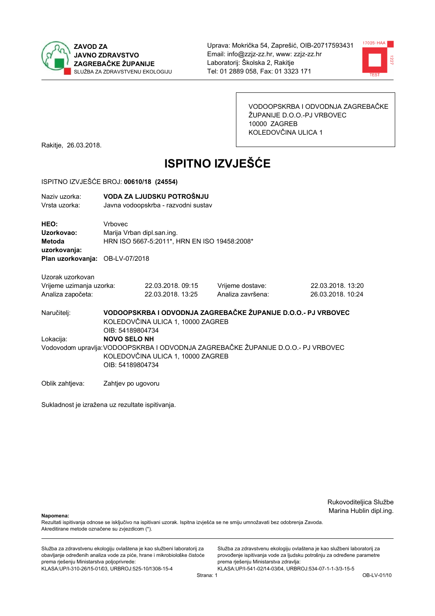



VODOOPSKRBA I ODVODNJA ZAGREBAČKE ŽUPANIJE D.O.O.-PJ VRBOVEC 10000 ZAGREB KOLEDOVČINA ULICA 1

Rakitje, 26.03.2018.

# **ISPITNO IZVJEŠĆE**

#### ISPITNO IZVJEŠĆE BROJ: 00610/18 (24554)

| Naziv uzorka:                   |                                                                                  | VODA ZA LJUDSKU POTROŠNJU                    |                                                               |                   |  |  |  |
|---------------------------------|----------------------------------------------------------------------------------|----------------------------------------------|---------------------------------------------------------------|-------------------|--|--|--|
| Vrsta uzorka:                   |                                                                                  | Javna vodoopskrba - razvodni sustav          |                                                               |                   |  |  |  |
|                                 |                                                                                  |                                              |                                                               |                   |  |  |  |
| HEO:                            | Vrbovec                                                                          |                                              |                                                               |                   |  |  |  |
|                                 |                                                                                  |                                              |                                                               |                   |  |  |  |
| Uzorkovao:                      | Marija Vrban dipl.san.ing.                                                       |                                              |                                                               |                   |  |  |  |
| Metoda                          |                                                                                  | HRN ISO 5667-5:2011*, HRN EN ISO 19458:2008* |                                                               |                   |  |  |  |
| uzorkovanja:                    |                                                                                  |                                              |                                                               |                   |  |  |  |
| Plan uzorkovanja: OB-LV-07/2018 |                                                                                  |                                              |                                                               |                   |  |  |  |
|                                 |                                                                                  |                                              |                                                               |                   |  |  |  |
| Uzorak uzorkovan                |                                                                                  |                                              |                                                               |                   |  |  |  |
| Vrijeme uzimanja uzorka:        |                                                                                  | 22.03.2018.09:15                             | Vrijeme dostave:                                              | 22.03.2018. 13:20 |  |  |  |
| Analiza započeta:               |                                                                                  | 22.03.2018. 13:25                            | Analiza završena:                                             | 26.03.2018. 10:24 |  |  |  |
|                                 |                                                                                  |                                              |                                                               |                   |  |  |  |
| Naručitelj:                     |                                                                                  |                                              | VODOOPSKRBA I ODVODNJA ZAGREBAČKE ŽUPANIJE D.O.O.- PJ VRBOVEC |                   |  |  |  |
|                                 |                                                                                  | KOLEDOVČINA ULICA 1, 10000 ZAGREB            |                                                               |                   |  |  |  |
|                                 |                                                                                  |                                              |                                                               |                   |  |  |  |
|                                 | OIB: 54189804734                                                                 |                                              |                                                               |                   |  |  |  |
| Lokacija:                       | <b>NOVO SELO NH</b>                                                              |                                              |                                                               |                   |  |  |  |
|                                 | Vodovodom upravlja:VODOOPSKRBA I ODVODNJA ZAGREBAČKE ŽUPANIJE D.O.O.- PJ VRBOVEC |                                              |                                                               |                   |  |  |  |
|                                 |                                                                                  | KOLEDOVČINA ULICA 1, 10000 ZAGREB            |                                                               |                   |  |  |  |
|                                 | OIB: 54189804734                                                                 |                                              |                                                               |                   |  |  |  |
|                                 |                                                                                  |                                              |                                                               |                   |  |  |  |
| Oblik zahtjeva:                 | Zahtjev po ugovoru                                                               |                                              |                                                               |                   |  |  |  |
|                                 |                                                                                  |                                              |                                                               |                   |  |  |  |

Sukladnost je izražena uz rezultate ispitivanja.

Rukovoditeljica Službe Marina Hublin dipl.ing.

Napomena:

Rezultati ispitivanja odnose se isključivo na ispitivani uzorak. Ispitna izvješća se ne smiju umnožavati bez odobrenja Zavoda. Akreditirane metode označene su zvjezdicom (\*).

Služba za zdravstvenu ekologiju ovlaštena je kao službeni laboratorij za obavljanje određenih analiza vode za piće, hrane i mikrobiološke čistoće prema rješenju Ministarstva poljoprivrede: KLASA:UP/I-310-26/15-01/03, URBROJ:525-10/1308-15-4

Služba za zdravstvenu ekologiju ovlaštena je kao službeni laboratorij za provođenje ispitivanja vode za ljudsku potrošnju za određene parametre prema rješenju Ministarstva zdravlja: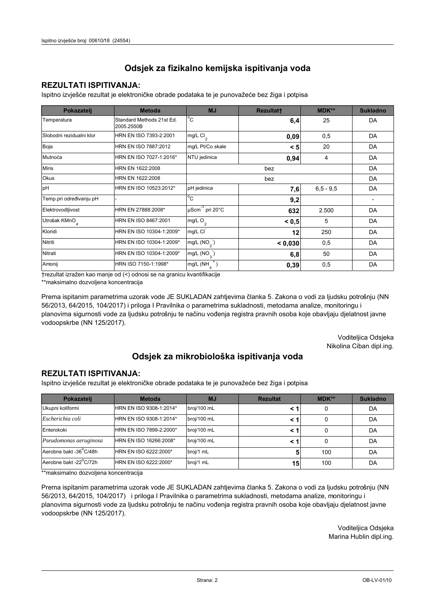### **REZULTATI ISPITIVANJA:**

Ispitno izviešće rezultat je elektroničke obrade podataka te je punovažeće bez žiga i potpisa

| Pokazatelj                | <b>Metoda</b>                           | <b>MJ</b>                   | Rezultatt | <b>MDK**</b>  | <b>Sukladno</b> |
|---------------------------|-----------------------------------------|-----------------------------|-----------|---------------|-----------------|
| Temperatura               | Standard Methods 21st Ed.<br>2005.2550B | $^{\circ}$ C                | 6,4       | 25            | DA              |
| Slobodni rezidualni klor  | HRN EN ISO 7393-2:2001                  | $mg/L$ Cl <sub>2</sub>      | 0,09      | 0,5           | DA              |
| Boja                      | HRN EN ISO 7887:2012                    | mg/L Pt/Co skale            | < 5       | 20            | DA              |
| Mutnoća                   | HRN EN ISO 7027-1:2016*                 | NTU jedinica                | 0,94      | 4             | DA              |
| <b>Miris</b>              | HRN EN 1622:2008                        |                             | DA        |               |                 |
| Okus                      | HRN EN 1622:2008                        |                             | DA        |               |                 |
| pH                        | HRN EN ISO 10523:2012*                  | pH jedinica                 | 7,6       | $6, 5 - 9, 5$ | DA              |
| Temp.pri određivanju pH   |                                         | $^{\circ}$ C                | 9,2       |               |                 |
| Elektrovodljivost         | HRN EN 27888:2008*                      | µScm <sup>-1</sup> pri 20°C | 632       | 2.500         | DA              |
| Utrošak KMnO <sub>4</sub> | HRN EN ISO 8467:2001                    | mg/L O <sub>2</sub>         | < 0, 5    | 5             | DA              |
| Kloridi                   | HRN EN ISO 10304-1:2009*                | mg/L CI                     | 12        | 250           | DA              |
| Nitriti                   | HRN EN ISO 10304-1:2009*                | mg/L $(NO2)$                | < 0.030   | 0,5           | DA              |
| Nitrati                   | HRN EN ISO 10304-1:2009*                | mg/L $(NO_{\alpha}^{-})$    | 6,8       | 50            | DA              |
| Amonij                    | HRN ISO 7150-1:1998*                    | mg/L (NH                    | 0,39      | 0,5           | DA              |

trezultat izražen kao manje od (<) odnosi se na granicu kvantifikacije

\*\*maksimalno dozvoljena koncentracija

Prema ispitanim parametrima uzorak vode JE SUKLADAN zahtjevima članka 5. Zakona o vodi za ljudsku potrošnju (NN 56/2013, 64/2015, 104/2017) i priloga I Pravilnika o parametrima sukladnosti, metodama analize, monitoringu i planovima sigurnosti vode za ljudsku potrošnju te načinu vođenja registra pravnih osoba koje obavljaju djelatnost javne vodoopskrbe (NN 125/2017).

> Voditeljica Odsjeka Nikolina Ciban dipl.ing.

## Odsjek za mikrobiološka ispitivanja voda

#### **REZULTATI ISPITIVANJA:**

Ispitno izvješće rezultat je elektroničke obrade podataka te je punovažeće bez žiga i potpisa

| Pokazatelj             | <b>Metoda</b>           | <b>MJ</b>   | <b>Rezultat</b> | $MDK**$ | <b>Sukladno</b> |
|------------------------|-------------------------|-------------|-----------------|---------|-----------------|
| Ukupni koliformi       | HRN EN ISO 9308-1:2014* | broj/100 mL |                 | 0       | DA              |
| Escherichia coli       | HRN EN ISO 9308-1:2014* | broj/100 mL |                 | 0       | DA              |
| Enterokoki             | HRN EN ISO 7899-2:2000* | broj/100 mL |                 | 0       | DA              |
| Pseudomonas aeruginosa | HRN EN ISO 16266:2008*  | broj/100 mL | < 1             | 0       | DA              |
| Aerobne bakt -36 C/48h | HRN EN ISO 6222:2000*   | broj/1 mL   |                 | 100     | DA              |
| Aerobne bakt -22°C/72h | HRN EN ISO 6222:2000*   | broj/1 mL   | 15              | 100     | DA              |

\*\*maksimalno dozvoljena koncentracija

Prema ispitanim parametrima uzorak vode JE SUKLADAN zahtjevima članka 5. Zakona o vodi za ljudsku potrošnju (NN 56/2013, 64/2015, 104/2017) i priloga I Pravilnika o parametrima sukladnosti, metodama analize, monitoringu i planovima sigurnosti vode za ljudsku potrošnju te načinu vođenja registra pravnih osoba koje obavljaju djelatnost javne vodoopskrbe (NN 125/2017).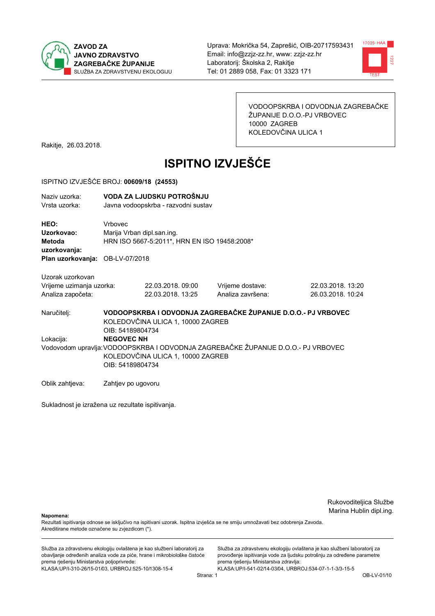



VODOOPSKRBA I ODVODNJA ZAGREBAČKE ŽUPANIJE D.O.O.-PJ VRBOVEC 10000 ZAGREB KOLEDOVČINA ULICA 1

Rakitje, 26.03.2018.

# **ISPITNO IZVJEŠĆE**

#### ISPITNO IZVJEŠĆE BROJ: 00609/18 (24553)

| Naziv uzorka:<br>Vrsta uzorka:                                                         |                                                                                       | VODA ZA LJUDSKU POTROŠNJU<br>Javna vodoopskrba - razvodni sustav |                                                                                   |                                        |  |
|----------------------------------------------------------------------------------------|---------------------------------------------------------------------------------------|------------------------------------------------------------------|-----------------------------------------------------------------------------------|----------------------------------------|--|
| HEO:<br>Uzorkovao:<br><b>Metoda</b><br>uzorkovanja:<br>Plan uzorkovanja: OB-LV-07/2018 | Vrbovec<br>Marija Vrban dipl.san.ing.<br>HRN ISO 5667-5:2011*, HRN EN ISO 19458:2008* |                                                                  |                                                                                   |                                        |  |
| Uzorak uzorkovan<br>Vrijeme uzimanja uzorka:<br>Analiza započeta:                      |                                                                                       | 22.03.2018, 09:00<br>22.03.2018. 13:25                           | Vrijeme dostave:<br>Analiza završena:                                             | 22.03.2018. 13:20<br>26.03.2018. 10:24 |  |
| Naručitelj:                                                                            | OIB: 54189804734                                                                      | KOLEDOVČINA ULICA 1, 10000 ZAGREB                                | VODOOPSKRBA I ODVODNJA ZAGREBAČKE ŽUPANIJE D.O.O.- PJ VRBOVEC                     |                                        |  |
| Lokacija:                                                                              | <b>NEGOVEC NH</b>                                                                     |                                                                  |                                                                                   |                                        |  |
|                                                                                        | OIB: 54189804734                                                                      | KOLEDOVČINA ULICA 1, 10000 ZAGREB                                | Vodovodom upravlja: VODOOPSKRBA I ODVODNJA ZAGREBAČKE ŽUPANIJE D.O.O.- PJ VRBOVEC |                                        |  |
| Oblik zahtjeva:                                                                        | Zahtjev po ugovoru                                                                    |                                                                  |                                                                                   |                                        |  |

Sukladnost je izražena uz rezultate ispitivanja.

Rukovoditeljica Službe Marina Hublin dipl.ing.

Napomena:

Rezultati ispitivanja odnose se isključivo na ispitivani uzorak. Ispitna izvješća se ne smiju umnožavati bez odobrenja Zavoda. Akreditirane metode označene su zvjezdicom (\*).

Služba za zdravstvenu ekologiju ovlaštena je kao službeni laboratorij za obavljanje određenih analiza vode za piće, hrane i mikrobiološke čistoće prema rješenju Ministarstva poljoprivrede: KLASA:UP/I-310-26/15-01/03, URBROJ:525-10/1308-15-4

Služba za zdravstvenu ekologiju ovlaštena je kao službeni laboratorij za provođenje ispitivanja vode za ljudsku potrošnju za određene parametre prema rješenju Ministarstva zdravlja: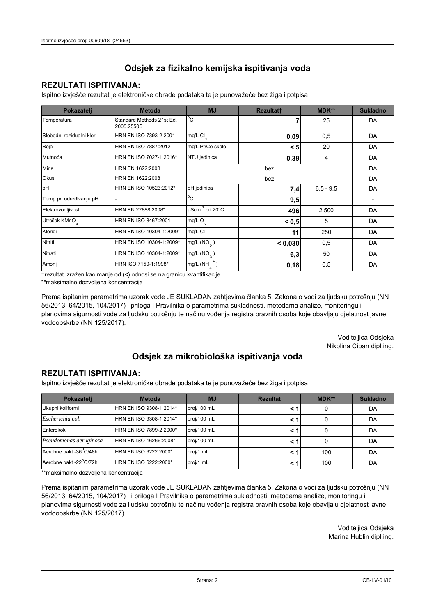### **REZULTATI ISPITIVANJA:**

Ispitno izviešće rezultat je elektroničke obrade podataka te je punovažeće bez žiga i potpisa

| Pokazatelj                | <b>Metoda</b>                           | <b>MJ</b>                   | Rezultatt | <b>MDK**</b>  | <b>Sukladno</b> |
|---------------------------|-----------------------------------------|-----------------------------|-----------|---------------|-----------------|
| Temperatura               | Standard Methods 21st Ed.<br>2005.2550B | $^{\circ}$ C                |           | 25            | DA              |
| Slobodni rezidualni klor  | HRN EN ISO 7393-2:2001                  | $mg/L$ Cl <sub>2</sub>      | 0,09      | 0,5           | DA              |
| Boja                      | HRN EN ISO 7887:2012                    | mg/L Pt/Co skale            | < 5       | 20            | DA              |
| Mutnoća                   | HRN EN ISO 7027-1:2016*                 | NTU jedinica                | 0,39      | 4             | DA              |
| <b>Miris</b>              | HRN EN 1622:2008                        |                             | DA        |               |                 |
| Okus                      | HRN EN 1622:2008                        |                             | DA        |               |                 |
| pH                        | HRN EN ISO 10523:2012*                  | pH jedinica                 | 7,4       | $6, 5 - 9, 5$ | DA              |
| Temp.pri određivanju pH   |                                         | $^{\circ}$ C                | 9,5       |               |                 |
| Elektrovodljivost         | HRN EN 27888:2008*                      | µScm <sup>-1</sup> pri 20°C | 496       | 2.500         | DA              |
| Utrošak KMnO <sub>4</sub> | HRN EN ISO 8467:2001                    | mg/L O <sub>2</sub>         | < 0, 5    | 5             | DA              |
| Kloridi                   | HRN EN ISO 10304-1:2009*                | mg/L CI                     | 11        | 250           | DA              |
| Nitriti                   | HRN EN ISO 10304-1:2009*                | mg/L $(NO2)$                | < 0.030   | 0,5           | DA              |
| Nitrati                   | HRN EN ISO 10304-1:2009*                | mg/L $(NO_{\alpha}^{-})$    | 6,3       | 50            | DA              |
| Amonij                    | HRN ISO 7150-1:1998*                    | mg/L (NH                    | 0,18      | 0,5           | DA              |

trezultat izražen kao manje od (<) odnosi se na granicu kvantifikacije

\*\*maksimalno dozvoljena koncentracija

Prema ispitanim parametrima uzorak vode JE SUKLADAN zahtjevima članka 5. Zakona o vodi za ljudsku potrošnju (NN 56/2013, 64/2015, 104/2017) i priloga I Pravilnika o parametrima sukladnosti, metodama analize, monitoringu i planovima sigurnosti vode za ljudsku potrošnju te načinu vođenja registra pravnih osoba koje obavljaju djelatnost javne vodoopskrbe (NN 125/2017).

> Voditeljica Odsjeka Nikolina Ciban dipl.ing.

## Odsjek za mikrobiološka ispitivanja voda

#### **REZULTATI ISPITIVANJA:**

Ispitno izvješće rezultat je elektroničke obrade podataka te je punovažeće bez žiga i potpisa

| Pokazatelj             | <b>Metoda</b>           | <b>MJ</b>   | <b>Rezultat</b> | $MDK**$ | <b>Sukladno</b> |
|------------------------|-------------------------|-------------|-----------------|---------|-----------------|
| Ukupni koliformi       | HRN EN ISO 9308-1:2014* | broj/100 mL |                 | 0       | DA              |
| Escherichia coli       | HRN EN ISO 9308-1:2014* | broj/100 mL |                 | 0       | DA              |
| Enterokoki             | HRN EN ISO 7899-2:2000* | broj/100 mL |                 | 0       | DA              |
| Pseudomonas aeruginosa | HRN EN ISO 16266:2008*  | broj/100 mL | < 1             | 0       | DA              |
| Aerobne bakt -36 C/48h | HRN EN ISO 6222:2000*   | broj/1 mL   |                 | 100     | DA              |
| Aerobne bakt -22°C/72h | HRN EN ISO 6222:2000*   | broj/1 mL   |                 | 100     | DA              |

\*\*maksimalno dozvoljena koncentracija

Prema ispitanim parametrima uzorak vode JE SUKLADAN zahtjevima članka 5. Zakona o vodi za ljudsku potrošnju (NN 56/2013, 64/2015, 104/2017) i priloga I Pravilnika o parametrima sukladnosti, metodama analize, monitoringu i planovima sigurnosti vode za ljudsku potrošnju te načinu vođenja registra pravnih osoba koje obavljaju djelatnost javne vodoopskrbe (NN 125/2017).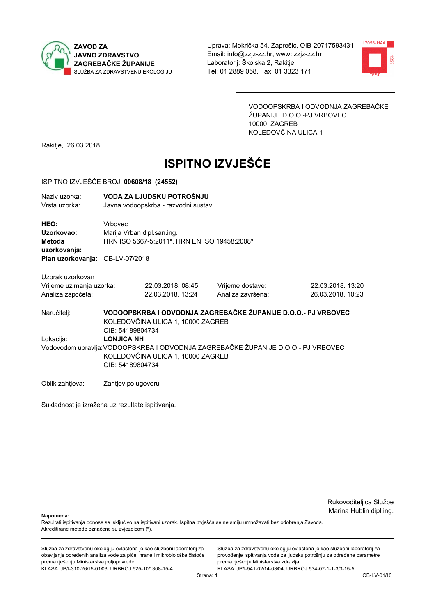



VODOOPSKRBA I ODVODNJA ZAGREBAČKE ŽUPANIJE D.O.O.-PJ VRBOVEC 10000 ZAGREB KOLEDOVČINA ULICA 1

Rakitje, 26.03.2018.

# **ISPITNO IZVJEŠĆE**

#### ISPITNO IZVJEŠĆE BROJ: 00608/18 (24552)

| Naziv uzorka:<br>Vrsta uzorka:                                                  |                    | VODA ZA LJUDSKU POTROŠNJU<br>Javna vodoopskrba - razvodni sustav           |                                                                                  |                                        |  |  |
|---------------------------------------------------------------------------------|--------------------|----------------------------------------------------------------------------|----------------------------------------------------------------------------------|----------------------------------------|--|--|
| HEO:<br>Uzorkovao:<br>Metoda<br>uzorkovanja:<br>Plan uzorkovanja: OB-LV-07/2018 | Vrbovec            | Marija Vrban dipl.san.ing.<br>HRN ISO 5667-5:2011*, HRN EN ISO 19458:2008* |                                                                                  |                                        |  |  |
| Uzorak uzorkovan                                                                |                    |                                                                            |                                                                                  |                                        |  |  |
| Vrijeme uzimanja uzorka:<br>Analiza započeta:                                   |                    | 22.03.2018.08:45<br>22.03.2018. 13:24                                      | Vrijeme dostave:<br>Analiza završena:                                            | 22.03.2018. 13:20<br>26.03.2018. 10:23 |  |  |
| Naručitelj:                                                                     | OIB: 54189804734   | KOLEDOVČINA ULICA 1, 10000 ZAGREB                                          | VODOOPSKRBA I ODVODNJA ZAGREBAČKE ŽUPANIJE D.O.O.- PJ VRBOVEC                    |                                        |  |  |
| Lokacija:                                                                       | <b>LONJICA NH</b>  |                                                                            |                                                                                  |                                        |  |  |
|                                                                                 | OIB: 54189804734   | KOLEDOVČINA ULICA 1, 10000 ZAGREB                                          | Vodovodom upravlja:VODOOPSKRBA I ODVODNJA ZAGREBAČKE ŽUPANIJE D.O.O.- PJ VRBOVEC |                                        |  |  |
| Oblik zahtjeva:                                                                 | Zahtjev po ugovoru |                                                                            |                                                                                  |                                        |  |  |

Sukladnost je izražena uz rezultate ispitivanja.

Rukovoditeljica Službe Marina Hublin dipl.ing.

Napomena:

Rezultati ispitivanja odnose se isključivo na ispitivani uzorak. Ispitna izvješća se ne smiju umnožavati bez odobrenja Zavoda. Akreditirane metode označene su zvjezdicom (\*).

Služba za zdravstvenu ekologiju ovlaštena je kao službeni laboratorij za obavljanje određenih analiza vode za piće, hrane i mikrobiološke čistoće prema rješenju Ministarstva poljoprivrede: KLASA:UP/I-310-26/15-01/03, URBROJ:525-10/1308-15-4

Služba za zdravstvenu ekologiju ovlaštena je kao službeni laboratorij za provođenje ispitivanja vode za ljudsku potrošnju za određene parametre prema rješenju Ministarstva zdravlja: